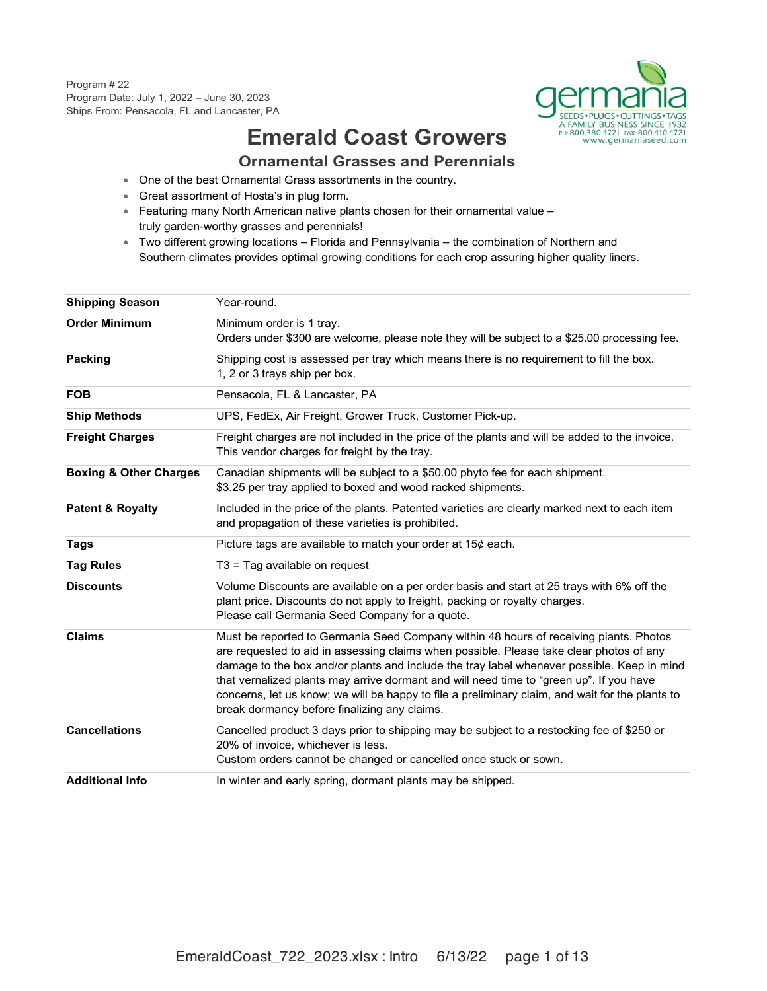

## **Emerald Coast Growers Ornamental Grasses and Perennials**

- One of the best Ornamental Grass assortments in the country.
- Great assortment of Hosta's in plug form.
- Featuring many North American native plants chosen for their ornamental value truly garden-worthy grasses and perennials!
- Two different growing locations Florida and Pennsylvania the combination of Northern and Southern climates provides optimal growing conditions for each crop assuring higher quality liners.

| <b>Shipping Season</b>            | Year-round.                                                                                                                                                                                                                                                                                                                                                                                                                                                                                                                  |
|-----------------------------------|------------------------------------------------------------------------------------------------------------------------------------------------------------------------------------------------------------------------------------------------------------------------------------------------------------------------------------------------------------------------------------------------------------------------------------------------------------------------------------------------------------------------------|
| <b>Order Minimum</b>              | Minimum order is 1 tray.<br>Orders under \$300 are welcome, please note they will be subject to a \$25.00 processing fee.                                                                                                                                                                                                                                                                                                                                                                                                    |
| Packing                           | Shipping cost is assessed per tray which means there is no requirement to fill the box.<br>1, 2 or 3 trays ship per box.                                                                                                                                                                                                                                                                                                                                                                                                     |
| <b>FOB</b>                        | Pensacola, FL & Lancaster, PA                                                                                                                                                                                                                                                                                                                                                                                                                                                                                                |
| <b>Ship Methods</b>               | UPS, FedEx, Air Freight, Grower Truck, Customer Pick-up.                                                                                                                                                                                                                                                                                                                                                                                                                                                                     |
| <b>Freight Charges</b>            | Freight charges are not included in the price of the plants and will be added to the invoice.<br>This vendor charges for freight by the tray.                                                                                                                                                                                                                                                                                                                                                                                |
| <b>Boxing &amp; Other Charges</b> | Canadian shipments will be subject to a \$50.00 phyto fee for each shipment.<br>\$3.25 per tray applied to boxed and wood racked shipments.                                                                                                                                                                                                                                                                                                                                                                                  |
| <b>Patent &amp; Royalty</b>       | Included in the price of the plants. Patented varieties are clearly marked next to each item<br>and propagation of these varieties is prohibited.                                                                                                                                                                                                                                                                                                                                                                            |
| Tags                              | Picture tags are available to match your order at $15¢$ each.                                                                                                                                                                                                                                                                                                                                                                                                                                                                |
| <b>Tag Rules</b>                  | $T3$ = Tag available on request                                                                                                                                                                                                                                                                                                                                                                                                                                                                                              |
| <b>Discounts</b>                  | Volume Discounts are available on a per order basis and start at 25 trays with 6% off the<br>plant price. Discounts do not apply to freight, packing or royalty charges.<br>Please call Germania Seed Company for a quote.                                                                                                                                                                                                                                                                                                   |
| <b>Claims</b>                     | Must be reported to Germania Seed Company within 48 hours of receiving plants. Photos<br>are requested to aid in assessing claims when possible. Please take clear photos of any<br>damage to the box and/or plants and include the tray label whenever possible. Keep in mind<br>that vernalized plants may arrive dormant and will need time to "green up". If you have<br>concerns, let us know; we will be happy to file a preliminary claim, and wait for the plants to<br>break dormancy before finalizing any claims. |
| <b>Cancellations</b>              | Cancelled product 3 days prior to shipping may be subject to a restocking fee of \$250 or<br>20% of invoice, whichever is less.<br>Custom orders cannot be changed or cancelled once stuck or sown.                                                                                                                                                                                                                                                                                                                          |
| <b>Additional Info</b>            | In winter and early spring, dormant plants may be shipped.                                                                                                                                                                                                                                                                                                                                                                                                                                                                   |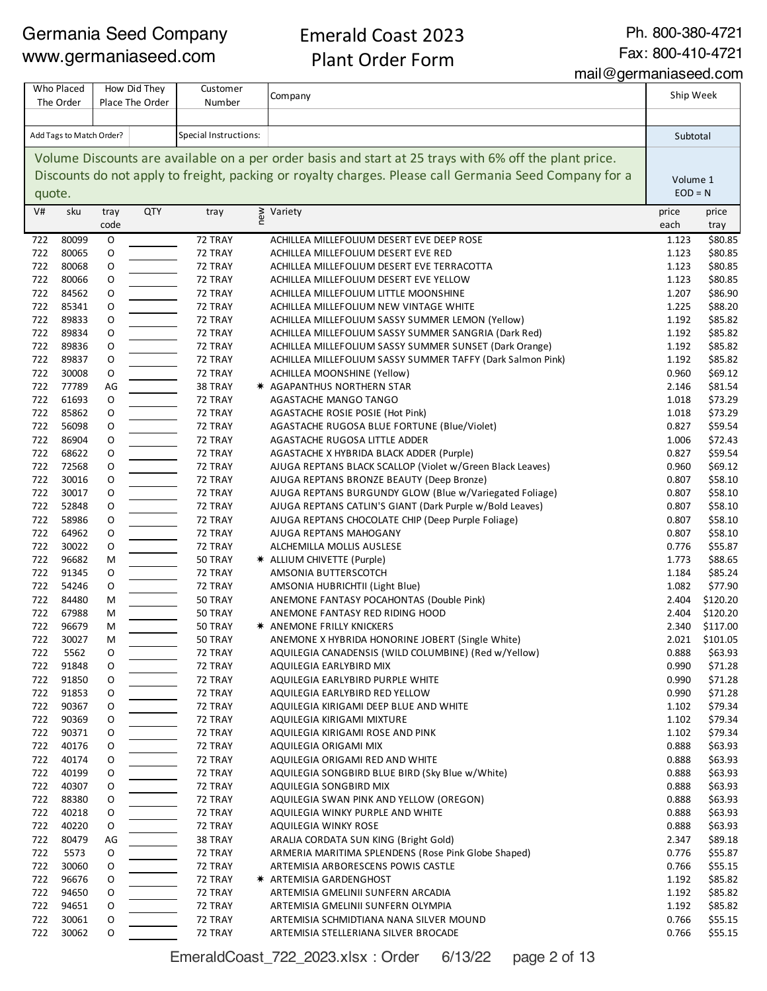Emerald Coast 2023 Plant Order Form

Ph. 800-380-4721

mail@germaniaseed.com

Fax: 800-410-4721

Company V# sku tray code QTY tray  $\geq$  Variety price price  $\geq$   $\geq$   $\geq$   $\geq$   $\geq$   $\geq$   $\geq$   $\geq$   $\geq$   $\geq$   $\geq$   $\geq$   $\geq$   $\geq$   $\geq$   $\geq$   $\geq$   $\geq$   $\geq$   $\geq$   $\geq$   $\geq$   $\geq$   $\geq$   $\geq$   $\geq$   $\geq$   $\geq$   $\geq$   $\geq$   $\geq$   $\geq$   $\ge$ each price tray 80099 O 72 TRAY ACHILLEA MILLEFOLIUM DESERT EVE DEEP ROSE 1.123 \$80.85 80065 O 72 TRAY ACHILLEA MILLEFOLIUM DESERT EVE RED 1.123 \$80.85 80068 O 72 TRAY ACHILLEA MILLEFOLIUM DESERT EVE TERRACOTTA 1.123 \$80.85 80066 O 72 TRAY ACHILLEA MILLEFOLIUM DESERT EVE YELLOW 1.123 \$80.85 84562 O 72 TRAY ACHILLEA MILLEFOLIUM LITTLE MOONSHINE 1.207 \$86.90 85341 O 72 TRAY ACHILLEA MILLEFOLIUM NEW VINTAGE WHITE 1.225 \$88.20 89833 O 72 TRAY ACHILLEA MILLEFOLIUM SASSY SUMMER LEMON (Yellow) 1.192 \$85.82 89834 O 72 TRAY ACHILLEA MILLEFOLIUM SASSY SUMMER SANGRIA (Dark Red) 1.192 \$85.82 89836 O 72 TRAY ACHILLEA MILLEFOLIUM SASSY SUMMER SUNSET (Dark Orange) 1.192 \$85.82 89837 O 72 TRAY ACHILLEA MILLEFOLIUM SASSY SUMMER TAFFY (Dark Salmon Pink) 1.192 \$85.82 30008 O 72 TRAY ACHILLEA MOONSHINE (Yellow) 0.960 \$69.12 77789 AG 38 TRAY ✷ AGAPANTHUS NORTHERN STAR 2.146 \$81.54 61693 O 72 TRAY AGASTACHE MANGO TANGO 1.018 \$73.29 85862 O 72 TRAY AGASTACHE ROSIE POSIE (Hot Pink) 1.018 \$73.29 56098 O 72 TRAY AGASTACHE RUGOSA BLUE FORTUNE (Blue/Violet) 0.827 \$59.54 86904 O 72 TRAY AGASTACHE RUGOSA LITTLE ADDER 1.006 \$72.43 68622 O 72 TRAY AGASTACHE X HYBRIDA BLACK ADDER (Purple) 0.827 \$59.54 72568 O 72 TRAY AJUGA REPTANS BLACK SCALLOP (Violet w/Green Black Leaves) 0.960 \$69.12 30016 O 72 TRAY AJUGA REPTANS BRONZE BEAUTY (Deep Bronze) 0.807 \$58.10 30017 O 72 TRAY AJUGA REPTANS BURGUNDY GLOW (Blue w/Variegated Foliage) 0.807 \$58.10 52848 O 72 TRAY AJUGA REPTANS CATLIN'S GIANT (Dark Purple w/Bold Leaves) 0.807 \$58.10 58986 O 72 TRAY AJUGA REPTANS CHOCOLATE CHIP (Deep Purple Foliage) 0.807 \$58.10 64962 O 72 TRAY AJUGA REPTANS MAHOGANY 0.807 \$58.10 30022 O 72 TRAY ALCHEMILLA MOLLIS AUSLESE 0.776 \$55.87 96682 M 50 TRAY ✷ ALLIUM CHIVETTE (Purple) 1.773 \$88.65 91345 O 72 TRAY AMSONIA BUTTERSCOTCH 1.184 \$85.24 54246 O 72 TRAY AMSONIA HUBRICHTII (Light Blue) 1.082 \$77.90 84480 M 50 TRAY ANEMONE FANTASY POCAHONTAS (Double Pink) 2.404 \$120.20 67988 M 50 TRAY ANEMONE FANTASY RED RIDING HOOD 2.404 \$120.20 96679 M 50 TRAY ✷ ANEMONE FRILLY KNICKERS 2.340 \$117.00 30027 M 50 TRAY ANEMONE X HYBRIDA HONORINE JOBERT (Single White) 2.021 \$101.05 5562 O 72 TRAY AQUILEGIA CANADENSIS (WILD COLUMBINE) (Red w/Yellow) 0.888 \$63.93 91848 O 72 TRAY AQUILEGIA EARLYBIRD MIX 0.990 \$71.28 722 91850 O 72 TRAY AQUILEGIA EARLYBIRD PURPLE WHITE 72 AND 10.990 \$71.28 91853 O 72 TRAY AQUILEGIA EARLYBIRD RED YELLOW 0.990 \$71.28 722 90367 O 72 TRAY AQUILEGIA KIRIGAMI DEEP BLUE AND WHITE 72 1.102 \$79.34 90369 O 72 TRAY AQUILEGIA KIRIGAMI MIXTURE 1.102 \$79.34 90371 O 72 TRAY AQUILEGIA KIRIGAMI ROSE AND PINK 1.102 \$79.34 40176 O 72 TRAY AQUILEGIA ORIGAMI MIX 0.888 \$63.93 40174 O 72 TRAY AQUILEGIA ORIGAMI RED AND WHITE 0.888 \$63.93 40199 O 72 TRAY AQUILEGIA SONGBIRD BLUE BIRD (Sky Blue w/White) 0.888 \$63.93 40307 O 72 TRAY AQUILEGIA SONGBIRD MIX 0.888 \$63.93 88380 O 72 TRAY AQUILEGIA SWAN PINK AND YELLOW (OREGON) 0.888 \$63.93 Trend and the Magnus of the Magnus Aquilegia Winky Purple and White the Case of the Cass of the Section of the M 40220 O 72 TRAY AQUILEGIA WINKY ROSE 0.888 \$63.93 80479 AG 38 TRAY ARALIA CORDATA SUN KING (Bright Gold) 2.347 \$89.18 5573 O 72 TRAY ARMERIA MARITIMA SPLENDENS (Rose Pink Globe Shaped) 0.776 \$55.87 30060 O 72 TRAY ARTEMISIA ARBORESCENS POWIS CASTLE 0.766 \$55.15 96676 O 72 TRAY ✷ ARTEMISIA GARDENGHOST 1.192 \$85.82 94650 O 72 TRAY ARTEMISIA GMELINII SUNFERN ARCADIA 1.192 \$85.82 94651 O 72 TRAY ARTEMISIA GMELINII SUNFERN OLYMPIA 1.192 \$85.82 30061 O 72 TRAY ARTEMISIA SCHMIDTIANA NANA SILVER MOUND 0.766 \$55.15 30062 O 72 TRAY ARTEMISIA STELLERIANA SILVER BROCADE 0.766 \$55.15 Volume Discounts are available on a per order basis and start at 25 trays with 6% off the plant price. Discounts do not apply to freight, packing or royalty charges. Please call Germania Seed Company for a quote. Who Placed How Did They Customer Customer Company Communication and the Ship Week The Order How Did They Place The Order Customer Number Add Tags to Match Order? Special Instructions: Subtotal Subtotal Subtotal Subtotal Subtotal Subtotal Subtotal Subtotal Subtotal Subtotal Subtotal Subtotal Subtotal Subtotal Subtotal Subtotal Subtotal Subtotal Subtotal Subt Volume 1  $EOD = N$ 

EmeraldCoast\_722\_2023.xlsx : Order 6/13/22 page 2 of 13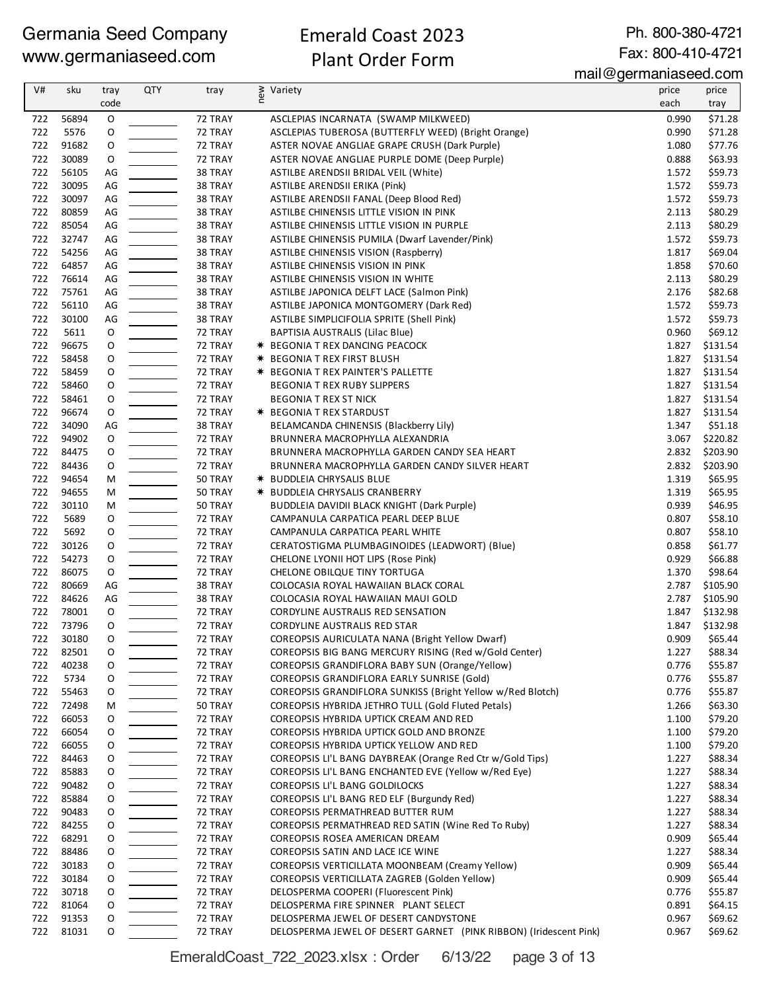#### Emerald Coast 2023 Plant Order Form

Ph. 800-380-4721 Fax: 800-410-4721

mail@germaniaseed.com

| V#         | sku            | tray        | <b>QTY</b> | tray               | ≥ Variety<br>E                                                                                                   | price          | price               |
|------------|----------------|-------------|------------|--------------------|------------------------------------------------------------------------------------------------------------------|----------------|---------------------|
|            |                | code        |            |                    |                                                                                                                  | each           | tray                |
| 722        | 56894          | O           |            | 72 TRAY            | ASCLEPIAS INCARNATA (SWAMP MILKWEED)                                                                             | 0.990          | \$71.28             |
| 722        | 5576           | 0           |            | 72 TRAY            | ASCLEPIAS TUBEROSA (BUTTERFLY WEED) (Bright Orange)                                                              | 0.990          | \$71.28             |
| 722        | 91682          | O           |            | 72 TRAY            | ASTER NOVAE ANGLIAE GRAPE CRUSH (Dark Purple)                                                                    | 1.080          | \$77.76             |
| 722<br>722 | 30089<br>56105 | O           |            | 72 TRAY<br>38 TRAY | ASTER NOVAE ANGLIAE PURPLE DOME (Deep Purple)                                                                    | 0.888<br>1.572 | \$63.93<br>\$59.73  |
| 722        | 30095          | AG<br>AG    |            | 38 TRAY            | ASTILBE ARENDSII BRIDAL VEIL (White)<br>ASTILBE ARENDSII ERIKA (Pink)                                            | 1.572          | \$59.73             |
| 722        | 30097          | AG          |            | 38 TRAY            | ASTILBE ARENDSII FANAL (Deep Blood Red)                                                                          | 1.572          | \$59.73             |
| 722        | 80859          | AG          |            | 38 TRAY            | ASTILBE CHINENSIS LITTLE VISION IN PINK                                                                          | 2.113          | \$80.29             |
| 722        | 85054          | AG          |            | 38 TRAY            | ASTILBE CHINENSIS LITTLE VISION IN PURPLE                                                                        | 2.113          | \$80.29             |
| 722        | 32747          | AG          |            | 38 TRAY            | ASTILBE CHINENSIS PUMILA (Dwarf Lavender/Pink)                                                                   | 1.572          | \$59.73             |
| 722        | 54256          | AG          |            | 38 TRAY            | <b>ASTILBE CHINENSIS VISION (Raspberry)</b>                                                                      | 1.817          | \$69.04             |
| 722        | 64857          | AG          |            | 38 TRAY            | ASTILBE CHINENSIS VISION IN PINK                                                                                 | 1.858          | \$70.60             |
| 722        | 76614          | AG          |            | 38 TRAY            | ASTILBE CHINENSIS VISION IN WHITE                                                                                | 2.113          | \$80.29             |
| 722        | 75761          | AG          |            | 38 TRAY            | ASTILBE JAPONICA DELFT LACE (Salmon Pink)                                                                        | 2.176          | \$82.68             |
| 722        | 56110          | AG          |            | 38 TRAY            | ASTILBE JAPONICA MONTGOMERY (Dark Red)                                                                           | 1.572          | \$59.73             |
| 722        | 30100          | AG          |            | 38 TRAY            | ASTILBE SIMPLICIFOLIA SPRITE (Shell Pink)                                                                        | 1.572          | \$59.73             |
| 722        | 5611           | O           |            | 72 TRAY            | BAPTISIA AUSTRALIS (Lilac Blue)                                                                                  | 0.960          | \$69.12             |
| 722        | 96675          | O           |            | 72 TRAY            | * BEGONIA T REX DANCING PEACOCK                                                                                  | 1.827          | \$131.54            |
| 722        | 58458          | O           |            | 72 TRAY            | <b>★ BEGONIA T REX FIRST BLUSH</b>                                                                               | 1.827          | \$131.54            |
| 722        | 58459          | $\mathsf O$ |            | 72 TRAY            | <b>* BEGONIA T REX PAINTER'S PALLETTE</b>                                                                        | 1.827          | \$131.54            |
| 722        | 58460          | O           |            | 72 TRAY            | <b>BEGONIA T REX RUBY SLIPPERS</b>                                                                               | 1.827          | \$131.54            |
| 722        | 58461          | O           |            | 72 TRAY            | <b>BEGONIA T REX ST NICK</b>                                                                                     | 1.827          | \$131.54            |
| 722<br>722 | 96674<br>34090 | O<br>AG     |            | 72 TRAY<br>38 TRAY | <b>★ BEGONIA T REX STARDUST</b><br>BELAMCANDA CHINENSIS (Blackberry Lily)                                        | 1.827<br>1.347 | \$131.54<br>\$51.18 |
| 722        | 94902          | O           |            | 72 TRAY            |                                                                                                                  | 3.067          | \$220.82            |
| 722        | 84475          | O           |            | 72 TRAY            | BRUNNERA MACROPHYLLA ALEXANDRIA<br>BRUNNERA MACROPHYLLA GARDEN CANDY SEA HEART                                   | 2.832          | \$203.90            |
| 722        | 84436          | O           |            | 72 TRAY            | BRUNNERA MACROPHYLLA GARDEN CANDY SILVER HEART                                                                   | 2.832          | \$203.90            |
| 722        | 94654          | M           |            | 50 TRAY            | <b>★ BUDDLEIA CHRYSALIS BLUE</b>                                                                                 | 1.319          | \$65.95             |
| 722        | 94655          | М           |            | 50 TRAY            | * BUDDLEIA CHRYSALIS CRANBERRY                                                                                   | 1.319          | \$65.95             |
| 722        | 30110          | M           |            | 50 TRAY            | BUDDLEIA DAVIDII BLACK KNIGHT (Dark Purple)                                                                      | 0.939          | \$46.95             |
| 722        | 5689           | 0           |            | 72 TRAY            | CAMPANULA CARPATICA PEARL DEEP BLUE                                                                              | 0.807          | \$58.10             |
| 722        | 5692           | O           |            | 72 TRAY            | CAMPANULA CARPATICA PEARL WHITE                                                                                  | 0.807          | \$58.10             |
| 722        | 30126          | O           |            | 72 TRAY            | CERATOSTIGMA PLUMBAGINOIDES (LEADWORT) (Blue)                                                                    | 0.858          | \$61.77             |
| 722        | 54273          | O           |            | 72 TRAY            | CHELONE LYONII HOT LIPS (Rose Pink)                                                                              | 0.929          | \$66.88             |
| 722        | 86075          | O           |            | 72 TRAY            | CHELONE OBILQUE TINY TORTUGA                                                                                     | 1.370          | \$98.64             |
| 722        | 80669          | AG          |            | 38 TRAY            | COLOCASIA ROYAL HAWAIIAN BLACK CORAL                                                                             | 2.787          | \$105.90            |
| 722        | 84626          | AG          |            | 38 TRAY            | COLOCASIA ROYAL HAWAIIAN MAUI GOLD                                                                               | 2.787          | \$105.90            |
| 722        | 78001          | O           |            | 72 TRAY            | <b>CORDYLINE AUSTRALIS RED SENSATION</b>                                                                         | 1.847          | \$132.98            |
| 722        | 73796          | O           |            | 72 TRAY            | CORDYLINE AUSTRALIS RED STAR                                                                                     | 1.847          | \$132.98            |
| 722        | 30180          | O           |            | 72 TRAY            | COREOPSIS AURICULATA NANA (Bright Yellow Dwarf)                                                                  | 0.909          | \$65.44             |
| 722        | 82501          | 0           |            | 72 TRAY            | COREOPSIS BIG BANG MERCURY RISING (Red w/Gold Center)                                                            | 1.227          | \$88.34             |
| 722        | 40238          | O           |            | 72 TRAY            | COREOPSIS GRANDIFLORA BABY SUN (Orange/Yellow)                                                                   | 0.776          | \$55.87             |
| 722        | 5734<br>55463  | 0           |            | 72 TRAY            | COREOPSIS GRANDIFLORA EARLY SUNRISE (Gold)                                                                       | 0.776<br>0.776 | \$55.87<br>\$55.87  |
| 722<br>722 | 72498          | 0<br>M      |            | 72 TRAY<br>50 TRAY | COREOPSIS GRANDIFLORA SUNKISS (Bright Yellow w/Red Blotch)<br>COREOPSIS HYBRIDA JETHRO TULL (Gold Fluted Petals) | 1.266          | \$63.30             |
| 722        | 66053          | 0           |            | 72 TRAY            | COREOPSIS HYBRIDA UPTICK CREAM AND RED                                                                           | 1.100          | \$79.20             |
| 722        | 66054          | 0           |            | 72 TRAY            | COREOPSIS HYBRIDA UPTICK GOLD AND BRONZE                                                                         | 1.100          | \$79.20             |
| 722        | 66055          | 0           |            | 72 TRAY            | COREOPSIS HYBRIDA UPTICK YELLOW AND RED                                                                          | 1.100          | \$79.20             |
| 722        | 84463          | 0           |            | 72 TRAY            | COREOPSIS LI'L BANG DAYBREAK (Orange Red Ctr w/Gold Tips)                                                        | 1.227          | \$88.34             |
| 722        | 85883          | 0           |            | 72 TRAY            | COREOPSIS LI'L BANG ENCHANTED EVE (Yellow w/Red Eye)                                                             | 1.227          | \$88.34             |
| 722        | 90482          | 0           |            | 72 TRAY            | <b>COREOPSIS LI'L BANG GOLDILOCKS</b>                                                                            | 1.227          | \$88.34             |
| 722        | 85884          | 0           |            | 72 TRAY            | COREOPSIS LI'L BANG RED ELF (Burgundy Red)                                                                       | 1.227          | \$88.34             |
| 722        | 90483          | 0           |            | 72 TRAY            | COREOPSIS PERMATHREAD BUTTER RUM                                                                                 | 1.227          | \$88.34             |
| 722        | 84255          | 0           |            | 72 TRAY            | COREOPSIS PERMATHREAD RED SATIN (Wine Red To Ruby)                                                               | 1.227          | \$88.34             |
| 722        | 68291          | 0           |            | 72 TRAY            | COREOPSIS ROSEA AMERICAN DREAM                                                                                   | 0.909          | \$65.44             |
| 722        | 88486          | 0           |            | 72 TRAY            | COREOPSIS SATIN AND LACE ICE WINE                                                                                | 1.227          | \$88.34             |
| 722        | 30183          | 0           |            | 72 TRAY            | COREOPSIS VERTICILLATA MOONBEAM (Creamy Yellow)                                                                  | 0.909          | \$65.44             |
| 722        | 30184          | 0           |            | 72 TRAY            | COREOPSIS VERTICILLATA ZAGREB (Golden Yellow)                                                                    | 0.909          | \$65.44             |
| 722        | 30718          | 0           |            | 72 TRAY            | DELOSPERMA COOPERI (Fluorescent Pink)                                                                            | 0.776          | \$55.87             |
| 722        | 81064          | 0           |            | 72 TRAY            | DELOSPERMA FIRE SPINNER PLANT SELECT                                                                             | 0.891          | \$64.15             |
| 722        | 91353          | O           |            | 72 TRAY            | DELOSPERMA JEWEL OF DESERT CANDYSTONE                                                                            | 0.967          | \$69.62             |
| 722        | 81031          | 0           |            | 72 TRAY            | DELOSPERMA JEWEL OF DESERT GARNET (PINK RIBBON) (Iridescent Pink)                                                | 0.967          | \$69.62             |

EmeraldCoast\_722\_2023.xlsx : Order 6/13/22 page 3 of 13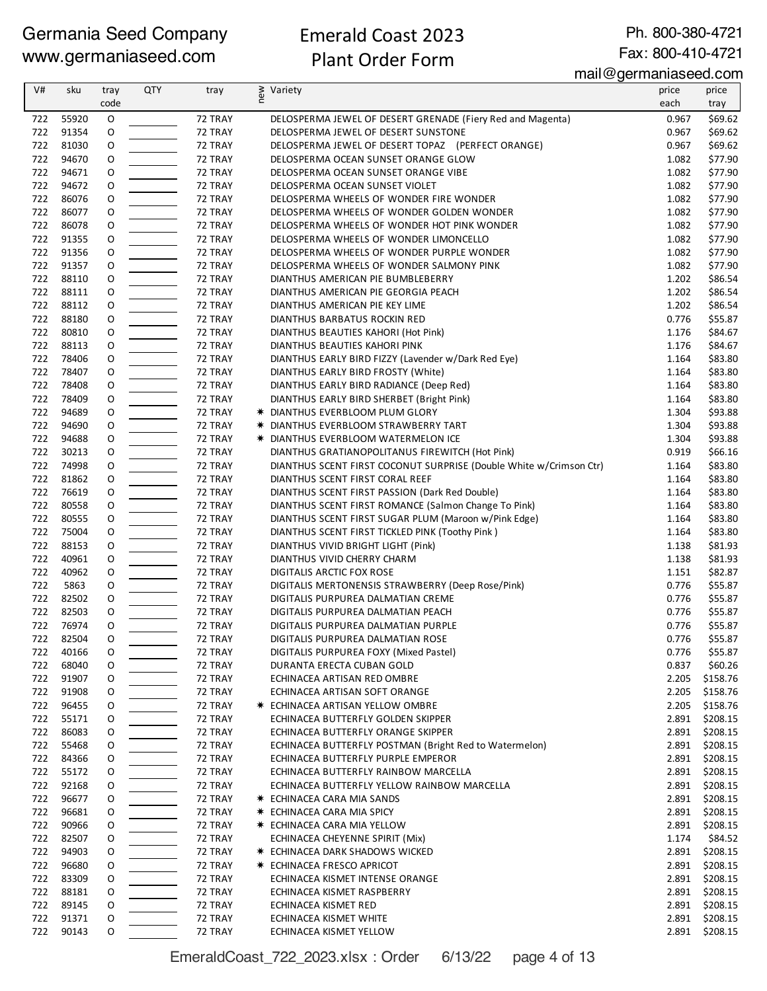#### Emerald Coast 2023 Plant Order Form

Ph. 800-380-4721 Fax: 800-410-4721

mail@germaniaseed.com

| V#         | sku            | tray        | <b>QTY</b> | tray               | ≷ Variety<br>E                                                                               | price          | price                |
|------------|----------------|-------------|------------|--------------------|----------------------------------------------------------------------------------------------|----------------|----------------------|
|            |                | code        |            |                    |                                                                                              | each           | tray                 |
| 722        | 55920          | $\mathsf O$ |            | 72 TRAY            | DELOSPERMA JEWEL OF DESERT GRENADE (Fiery Red and Magenta)                                   | 0.967          | \$69.62              |
| 722        | 91354          | O           |            | 72 TRAY            | DELOSPERMA JEWEL OF DESERT SUNSTONE                                                          | 0.967          | \$69.62              |
| 722        | 81030          | 0           |            | 72 TRAY            | DELOSPERMA JEWEL OF DESERT TOPAZ (PERFECT ORANGE)                                            | 0.967          | \$69.62              |
| 722        | 94670          | O           |            | 72 TRAY            | DELOSPERMA OCEAN SUNSET ORANGE GLOW                                                          | 1.082          | \$77.90              |
| 722<br>722 | 94671<br>94672 | O<br>O      |            | 72 TRAY<br>72 TRAY | DELOSPERMA OCEAN SUNSET ORANGE VIBE                                                          | 1.082<br>1.082 | \$77.90<br>\$77.90   |
| 722        | 86076          | O           |            | 72 TRAY            | DELOSPERMA OCEAN SUNSET VIOLET<br>DELOSPERMA WHEELS OF WONDER FIRE WONDER                    | 1.082          | \$77.90              |
| 722        | 86077          | O           |            | 72 TRAY            | DELOSPERMA WHEELS OF WONDER GOLDEN WONDER                                                    | 1.082          | \$77.90              |
| 722        | 86078          | 0           |            | 72 TRAY            | DELOSPERMA WHEELS OF WONDER HOT PINK WONDER                                                  | 1.082          | \$77.90              |
| 722        | 91355          | 0           |            | 72 TRAY            | DELOSPERMA WHEELS OF WONDER LIMONCELLO                                                       | 1.082          | \$77.90              |
| 722        | 91356          | 0           |            | 72 TRAY            | DELOSPERMA WHEELS OF WONDER PURPLE WONDER                                                    | 1.082          | \$77.90              |
| 722        | 91357          | 0           |            | 72 TRAY            | DELOSPERMA WHEELS OF WONDER SALMONY PINK                                                     | 1.082          | \$77.90              |
| 722        | 88110          | O           |            | 72 TRAY            | DIANTHUS AMERICAN PIE BUMBLEBERRY                                                            | 1.202          | \$86.54              |
| 722        | 88111          | 0           |            | 72 TRAY            | DIANTHUS AMERICAN PIE GEORGIA PEACH                                                          | 1.202          | \$86.54              |
| 722        | 88112          | O           |            | 72 TRAY            | DIANTHUS AMERICAN PIE KEY LIME                                                               | 1.202          | \$86.54              |
| 722        | 88180          | 0           |            | 72 TRAY            | DIANTHUS BARBATUS ROCKIN RED                                                                 | 0.776          | \$55.87              |
| 722        | 80810          | O           |            | 72 TRAY            | DIANTHUS BEAUTIES KAHORI (Hot Pink)                                                          | 1.176          | \$84.67              |
| 722        | 88113          | O           |            | 72 TRAY            | DIANTHUS BEAUTIES KAHORI PINK                                                                | 1.176          | \$84.67              |
| 722<br>722 | 78406<br>78407 | O<br>O      |            | 72 TRAY<br>72 TRAY | DIANTHUS EARLY BIRD FIZZY (Lavender w/Dark Red Eye)<br>DIANTHUS EARLY BIRD FROSTY (White)    | 1.164<br>1.164 | \$83.80<br>\$83.80   |
| 722        | 78408          | O           |            | 72 TRAY            | DIANTHUS EARLY BIRD RADIANCE (Deep Red)                                                      | 1.164          | \$83.80              |
| 722        | 78409          | O           |            | 72 TRAY            | DIANTHUS EARLY BIRD SHERBET (Bright Pink)                                                    | 1.164          | \$83.80              |
| 722        | 94689          | 0           |            | 72 TRAY            | * DIANTHUS EVERBLOOM PLUM GLORY                                                              | 1.304          | \$93.88              |
| 722        | 94690          | O           |            | 72 TRAY            | * DIANTHUS EVERBLOOM STRAWBERRY TART                                                         | 1.304          | \$93.88              |
| 722        | 94688          | 0           |            | 72 TRAY            | * DIANTHUS EVERBLOOM WATERMELON ICE                                                          | 1.304          | \$93.88              |
| 722        | 30213          | O           |            | 72 TRAY            | DIANTHUS GRATIANOPOLITANUS FIREWITCH (Hot Pink)                                              | 0.919          | \$66.16              |
| 722        | 74998          | O           |            | 72 TRAY            | DIANTHUS SCENT FIRST COCONUT SURPRISE (Double White w/Crimson Ctr)                           | 1.164          | \$83.80              |
| 722        | 81862          | O           |            | 72 TRAY            | DIANTHUS SCENT FIRST CORAL REEF                                                              | 1.164          | \$83.80              |
| 722        | 76619          | O           |            | 72 TRAY            | DIANTHUS SCENT FIRST PASSION (Dark Red Double)                                               | 1.164          | \$83.80              |
| 722        | 80558          | 0           |            | 72 TRAY            | DIANTHUS SCENT FIRST ROMANCE (Salmon Change To Pink)                                         | 1.164          | \$83.80              |
| 722        | 80555          | O           |            | 72 TRAY            | DIANTHUS SCENT FIRST SUGAR PLUM (Maroon w/Pink Edge)                                         | 1.164          | \$83.80              |
| 722        | 75004          | 0           |            | 72 TRAY            | DIANTHUS SCENT FIRST TICKLED PINK (Toothy Pink)                                              | 1.164          | \$83.80              |
| 722<br>722 | 88153<br>40961 | O<br>O      |            | 72 TRAY<br>72 TRAY | DIANTHUS VIVID BRIGHT LIGHT (Pink)                                                           | 1.138<br>1.138 | \$81.93              |
| 722        | 40962          | O           |            | 72 TRAY            | DIANTHUS VIVID CHERRY CHARM<br>DIGITALIS ARCTIC FOX ROSE                                     | 1.151          | \$81.93<br>\$82.87   |
| 722        | 5863           | O           |            | 72 TRAY            | DIGITALIS MERTONENSIS STRAWBERRY (Deep Rose/Pink)                                            | 0.776          | \$55.87              |
| 722        | 82502          | O           |            | 72 TRAY            | DIGITALIS PURPUREA DALMATIAN CREME                                                           | 0.776          | \$55.87              |
| 722        | 82503          | O           |            | 72 TRAY            | DIGITALIS PURPUREA DALMATIAN PEACH                                                           | 0.776          | \$55.87              |
| 722        | 76974          | O           |            | 72 TRAY            | DIGITALIS PURPUREA DALMATIAN PURPLE                                                          | 0.776          | \$55.87              |
| 722        | 82504          | O           |            | 72 TRAY            | DIGITALIS PURPUREA DALMATIAN ROSE                                                            | 0.776          | \$55.87              |
| 722        | 40166          | O           |            | 72 TRAY            | DIGITALIS PURPUREA FOXY (Mixed Pastel)                                                       | 0.776          | \$55.87              |
| 722        | 68040          | 0           |            | 72 TRAY            | DURANTA ERECTA CUBAN GOLD                                                                    | 0.837          | \$60.26              |
| 722        | 91907          | 0           |            | 72 TRAY            | ECHINACEA ARTISAN RED OMBRE                                                                  | 2.205          | \$158.76             |
| 722        | 91908          | 0           |            | 72 TRAY            | ECHINACEA ARTISAN SOFT ORANGE                                                                | 2.205          | \$158.76             |
| 722        | 96455          | 0           |            | 72 TRAY            | * ECHINACEA ARTISAN YELLOW OMBRE                                                             | 2.205          | \$158.76             |
| 722        | 55171          | 0           |            | 72 TRAY            | ECHINACEA BUTTERFLY GOLDEN SKIPPER                                                           | 2.891          | \$208.15             |
| 722        | 86083          | 0           |            | 72 TRAY            | ECHINACEA BUTTERFLY ORANGE SKIPPER                                                           | 2.891          | \$208.15             |
| 722<br>722 | 55468<br>84366 | 0<br>0      |            | 72 TRAY<br>72 TRAY | ECHINACEA BUTTERFLY POSTMAN (Bright Red to Watermelon)<br>ECHINACEA BUTTERFLY PURPLE EMPEROR | 2.891<br>2.891 | \$208.15<br>\$208.15 |
| 722        | 55172          | 0           |            | 72 TRAY            | ECHINACEA BUTTERFLY RAINBOW MARCELLA                                                         | 2.891          | \$208.15             |
| 722        | 92168          | 0           |            | 72 TRAY            | ECHINACEA BUTTERFLY YELLOW RAINBOW MARCELLA                                                  | 2.891          | \$208.15             |
| 722        | 96677          | 0           |            | 72 TRAY            | * ECHINACEA CARA MIA SANDS                                                                   | 2.891          | \$208.15             |
| 722        | 96681          | 0           |            | 72 TRAY            | <b>* ECHINACEA CARA MIA SPICY</b>                                                            | 2.891          | \$208.15             |
| 722        | 90966          | 0           |            | 72 TRAY            | * ECHINACEA CARA MIA YELLOW                                                                  | 2.891          | \$208.15             |
| 722        | 82507          | 0           |            | 72 TRAY            | ECHINACEA CHEYENNE SPIRIT (Mix)                                                              | 1.174          | \$84.52              |
| 722        | 94903          | 0           |            | 72 TRAY            | * ECHINACEA DARK SHADOWS WICKED                                                              | 2.891          | \$208.15             |
| 722        | 96680          | 0           |            | 72 TRAY            | <b>* ECHINACEA FRESCO APRICOT</b>                                                            | 2.891          | \$208.15             |
| 722        | 83309          | 0           |            | 72 TRAY            | ECHINACEA KISMET INTENSE ORANGE                                                              | 2.891          | \$208.15             |
| 722        | 88181          | 0           |            | 72 TRAY            | ECHINACEA KISMET RASPBERRY                                                                   | 2.891          | \$208.15             |
| 722        | 89145          | 0           |            | 72 TRAY            | ECHINACEA KISMET RED                                                                         | 2.891          | \$208.15             |
| 722        | 91371          | 0           |            | 72 TRAY            | ECHINACEA KISMET WHITE                                                                       | 2.891          | \$208.15             |
| 722        | 90143          | 0           |            | 72 TRAY            | ECHINACEA KISMET YELLOW                                                                      | 2.891          | \$208.15             |

EmeraldCoast\_722\_2023.xlsx : Order 6/13/22 page 4 of 13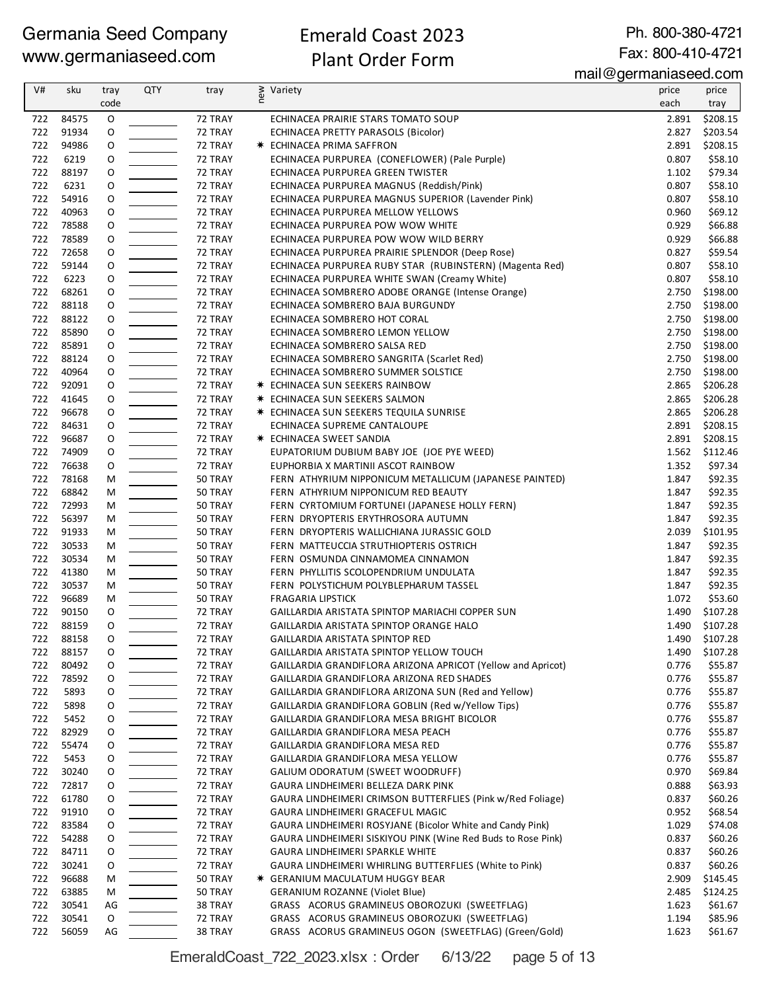#### Emerald Coast 2023 Plant Order Form

Ph. 800-380-4721 Fax: 800-410-4721

mail@germaniaseed.com

|     |           |      |            |         |                                                              | $111$ an $\sim$ gor mannaoood.oom |                |
|-----|-----------|------|------------|---------|--------------------------------------------------------------|-----------------------------------|----------------|
| V#  | sku       | tray | <b>QTY</b> | tray    | § Variety                                                    | price                             | price          |
|     |           | code |            |         |                                                              | each                              | tray           |
| 722 | 84575     | 0    |            | 72 TRAY | ECHINACEA PRAIRIE STARS TOMATO SOUP                          | 2.891                             | \$208.15       |
| 722 | 91934     | O    |            | 72 TRAY | ECHINACEA PRETTY PARASOLS (Bicolor)                          | 2.827                             | \$203.54       |
| 722 | 94986     | O    |            | 72 TRAY | <b>★ ECHINACEA PRIMA SAFFRON</b>                             | 2.891                             | \$208.15       |
|     |           |      |            |         |                                                              |                                   |                |
| 722 | 6219      | O    |            | 72 TRAY | ECHINACEA PURPUREA (CONEFLOWER) (Pale Purple)                | 0.807                             | \$58.10        |
| 722 | 88197     | O    |            | 72 TRAY | ECHINACEA PURPUREA GREEN TWISTER                             | 1.102                             | \$79.34        |
| 722 | 6231      | O    |            | 72 TRAY | ECHINACEA PURPUREA MAGNUS (Reddish/Pink)                     | 0.807                             | \$58.10        |
| 722 | 54916     | O    |            | 72 TRAY | ECHINACEA PURPUREA MAGNUS SUPERIOR (Lavender Pink)           | 0.807                             | \$58.10        |
| 722 | 40963     | O    |            | 72 TRAY | ECHINACEA PURPUREA MELLOW YELLOWS                            | 0.960                             | \$69.12        |
| 722 | 78588     | O    |            | 72 TRAY | ECHINACEA PURPUREA POW WOW WHITE                             | 0.929                             | \$66.88        |
| 722 | 78589     | O    |            | 72 TRAY | ECHINACEA PURPUREA POW WOW WILD BERRY                        | 0.929                             | \$66.88        |
| 722 | 72658     | O    |            | 72 TRAY | ECHINACEA PURPUREA PRAIRIE SPLENDOR (Deep Rose)              | 0.827                             | \$59.54        |
| 722 | 59144     | O    |            | 72 TRAY | ECHINACEA PURPUREA RUBY STAR (RUBINSTERN) (Magenta Red)      | 0.807                             | \$58.10        |
| 722 | 6223      | O    |            | 72 TRAY | ECHINACEA PURPUREA WHITE SWAN (Creamy White)                 | 0.807                             | \$58.10        |
| 722 | 68261     | O    |            | 72 TRAY | ECHINACEA SOMBRERO ADOBE ORANGE (Intense Orange)             | 2.750                             | \$198.00       |
| 722 |           |      |            |         |                                                              |                                   |                |
|     | 88118     | O    |            | 72 TRAY | ECHINACEA SOMBRERO BAJA BURGUNDY                             | 2.750                             | \$198.00       |
| 722 | 88122     | O    |            | 72 TRAY | ECHINACEA SOMBRERO HOT CORAL                                 | 2.750                             | \$198.00       |
| 722 | 85890     | O    |            | 72 TRAY | ECHINACEA SOMBRERO LEMON YELLOW                              | 2.750                             | \$198.00       |
| 722 | 85891     | O    |            | 72 TRAY | ECHINACEA SOMBRERO SALSA RED                                 | 2.750                             | \$198.00       |
| 722 | 88124     | O    |            | 72 TRAY | ECHINACEA SOMBRERO SANGRITA (Scarlet Red)                    | 2.750                             | \$198.00       |
| 722 | 40964     | O    |            | 72 TRAY | ECHINACEA SOMBRERO SUMMER SOLSTICE                           | 2.750                             | \$198.00       |
| 722 | 92091     | 0    |            | 72 TRAY | <b>★ ECHINACEA SUN SEEKERS RAINBOW</b>                       | 2.865                             | \$206.28       |
| 722 | 41645     | O    |            | 72 TRAY | <b>* ECHINACEA SUN SEEKERS SALMON</b>                        | 2.865                             | \$206.28       |
| 722 | 96678     | O    |            | 72 TRAY | <b>* ECHINACEA SUN SEEKERS TEQUILA SUNRISE</b>               | 2.865                             | \$206.28       |
| 722 | 84631     | 0    |            | 72 TRAY | ECHINACEA SUPREME CANTALOUPE                                 | 2.891                             | \$208.15       |
| 722 | 96687     | O    |            | 72 TRAY | <b>★ ECHINACEA SWEET SANDIA</b>                              | 2.891                             | \$208.15       |
| 722 | 74909     | O    |            | 72 TRAY | EUPATORIUM DUBIUM BABY JOE (JOE PYE WEED)                    |                                   | 1.562 \$112.46 |
|     | 76638     |      |            |         |                                                              |                                   |                |
| 722 |           | O    |            | 72 TRAY | EUPHORBIA X MARTINII ASCOT RAINBOW                           | 1.352                             | \$97.34        |
| 722 | 78168     | M    |            | 50 TRAY | FERN ATHYRIUM NIPPONICUM METALLICUM (JAPANESE PAINTED)       | 1.847                             | \$92.35        |
| 722 | 68842     | M    |            | 50 TRAY | FERN ATHYRIUM NIPPONICUM RED BEAUTY                          | 1.847                             | \$92.35        |
| 722 | 72993     | M    |            | 50 TRAY | FERN CYRTOMIUM FORTUNEI (JAPANESE HOLLY FERN)                | 1.847                             | \$92.35        |
| 722 | 56397     | M    |            | 50 TRAY | FERN DRYOPTERIS ERYTHROSORA AUTUMN                           | 1.847                             | \$92.35        |
| 722 | 91933     | M    |            | 50 TRAY | FERN DRYOPTERIS WALLICHIANA JURASSIC GOLD                    | 2.039                             | \$101.95       |
| 722 | 30533     | М    |            | 50 TRAY | FERN MATTEUCCIA STRUTHIOPTERIS OSTRICH                       | 1.847                             | \$92.35        |
| 722 | 30534     | М    |            | 50 TRAY | FERN OSMUNDA CINNAMOMEA CINNAMON                             | 1.847                             | \$92.35        |
| 722 | 41380     | M    |            | 50 TRAY | FERN PHYLLITIS SCOLOPENDRIUM UNDULATA                        | 1.847                             | \$92.35        |
| 722 | 30537     | M    |            | 50 TRAY | FERN POLYSTICHUM POLYBLEPHARUM TASSEL                        | 1.847                             | \$92.35        |
| 722 | 96689     | M    |            | 50 TRAY | <b>FRAGARIA LIPSTICK</b>                                     | 1.072                             | \$53.60        |
| 722 | 90150     | O    |            | 72 TRAY | GAILLARDIA ARISTATA SPINTOP MARIACHI COPPER SUN              | 1.490                             | \$107.28       |
| 722 | 88159     | O    |            | 72 TRAY | <b>GAILLARDIA ARISTATA SPINTOP ORANGE HALO</b>               |                                   | 1.490 \$107.28 |
|     |           |      |            |         |                                                              |                                   |                |
|     | 722 88158 | O    |            | 72 TRAY | GAILLARDIA ARISTATA SPINTOP RED                              |                                   | 1.490 \$107.28 |
| 722 | 88157     | O    |            | 72 TRAY | GAILLARDIA ARISTATA SPINTOP YELLOW TOUCH                     | 1.490                             | \$107.28       |
| 722 | 80492     | O    |            | 72 TRAY | GAILLARDIA GRANDIFLORA ARIZONA APRICOT (Yellow and Apricot)  | 0.776                             | \$55.87        |
| 722 | 78592     | O    |            | 72 TRAY | GAILLARDIA GRANDIFLORA ARIZONA RED SHADES                    | 0.776                             | \$55.87        |
| 722 | 5893      | O    |            | 72 TRAY | GAILLARDIA GRANDIFLORA ARIZONA SUN (Red and Yellow)          | 0.776                             | \$55.87        |
| 722 | 5898      | O    |            | 72 TRAY | GAILLARDIA GRANDIFLORA GOBLIN (Red w/Yellow Tips)            | 0.776                             | \$55.87        |
| 722 | 5452      | O    |            | 72 TRAY | GAILLARDIA GRANDIFLORA MESA BRIGHT BICOLOR                   | 0.776                             | \$55.87        |
| 722 | 82929     | O    |            | 72 TRAY | GAILLARDIA GRANDIFLORA MESA PEACH                            | 0.776                             | \$55.87        |
| 722 | 55474     | O    |            | 72 TRAY | GAILLARDIA GRANDIFLORA MESA RED                              | 0.776                             | \$55.87        |
| 722 | 5453      | O    |            | 72 TRAY | GAILLARDIA GRANDIFLORA MESA YELLOW                           | 0.776                             | \$55.87        |
| 722 | 30240     | O    |            | 72 TRAY | GALIUM ODORATUM (SWEET WOODRUFF)                             | 0.970                             | \$69.84        |
| 722 | 72817     | 0    |            | 72 TRAY | GAURA LINDHEIMERI BELLEZA DARK PINK                          | 0.888                             | \$63.93        |
| 722 | 61780     |      |            |         |                                                              | 0.837                             |                |
|     |           | O    |            | 72 TRAY | GAURA LINDHEIMERI CRIMSON BUTTERFLIES (Pink w/Red Foliage)   |                                   | \$60.26        |
| 722 | 91910     | O    |            | 72 TRAY | GAURA LINDHEIMERI GRACEFUL MAGIC                             | 0.952                             | \$68.54        |
| 722 | 83584     | O    |            | 72 TRAY | GAURA LINDHEIMERI ROSYJANE (Bicolor White and Candy Pink)    | 1.029                             | \$74.08        |
| 722 | 54288     | 0    |            | 72 TRAY | GAURA LINDHEIMERI SISKIYOU PINK (Wine Red Buds to Rose Pink) | 0.837                             | \$60.26        |
| 722 | 84711     | O    |            | 72 TRAY | GAURA LINDHEIMERI SPARKLE WHITE                              | 0.837                             | \$60.26        |
| 722 | 30241     | 0    |            | 72 TRAY | GAURA LINDHEIMERI WHIRLING BUTTERFLIES (White to Pink)       | 0.837                             | \$60.26        |
| 722 | 96688     | M    |            | 50 TRAY | <b>★ GERANIUM MACULATUM HUGGY BEAR</b>                       | 2.909                             | \$145.45       |
| 722 | 63885     | M    |            | 50 TRAY | <b>GERANIUM ROZANNE (Violet Blue)</b>                        | 2.485                             | \$124.25       |
| 722 | 30541     | AG   |            | 38 TRAY | GRASS ACORUS GRAMINEUS OBOROZUKI (SWEETFLAG)                 | 1.623                             | \$61.67        |
| 722 | 30541     | O    |            | 72 TRAY | GRASS ACORUS GRAMINEUS OBOROZUKI (SWEETFLAG)                 | 1.194                             | \$85.96        |
| 722 | 56059     | AG   |            | 38 TRAY | GRASS ACORUS GRAMINEUS OGON (SWEETFLAG) (Green/Gold)         | 1.623                             | \$61.67        |
|     |           |      |            |         |                                                              |                                   |                |

EmeraldCoast\_722\_2023.xlsx : Order 6/13/22 page 5 of 13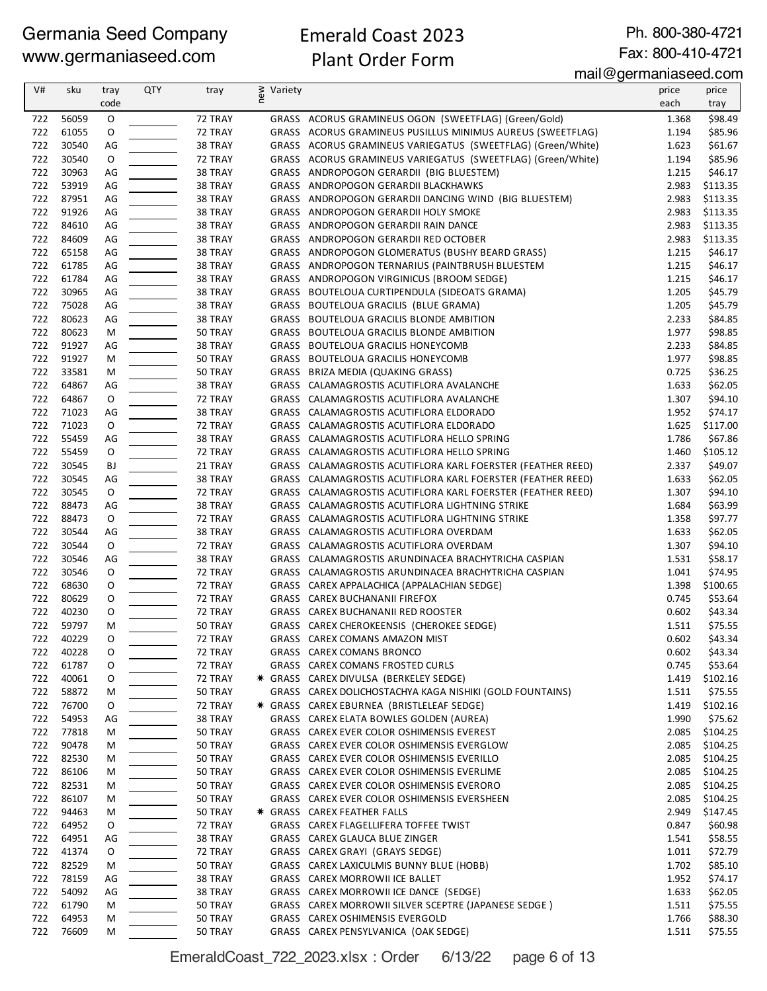### Emerald Coast 2023 Plant Order Form

Ph. 800-380-4721 Fax: 800-410-4721

mail@germaniaseed.com

| V#         | sku            | tray        | QTY | tray               | new<br>Variety |                                                                                      | price          | price               |
|------------|----------------|-------------|-----|--------------------|----------------|--------------------------------------------------------------------------------------|----------------|---------------------|
|            |                | code        |     |                    |                |                                                                                      | each           | tray                |
| 722        | 56059          | $\mathsf O$ |     | 72 TRAY            |                | GRASS ACORUS GRAMINEUS OGON (SWEETFLAG) (Green/Gold)                                 | 1.368          | \$98.49             |
| 722        | 61055          | O           |     | 72 TRAY            |                | GRASS ACORUS GRAMINEUS PUSILLUS MINIMUS AUREUS (SWEETFLAG)                           | 1.194          | \$85.96             |
| 722        | 30540          | AG          |     | 38 TRAY            |                | GRASS ACORUS GRAMINEUS VARIEGATUS (SWEETFLAG) (Green/White)                          | 1.623          | \$61.67             |
| 722        | 30540          | O           |     | 72 TRAY            |                | GRASS ACORUS GRAMINEUS VARIEGATUS (SWEETFLAG) (Green/White)                          | 1.194          | \$85.96             |
| 722        | 30963          | AG          |     | 38 TRAY            |                | GRASS ANDROPOGON GERARDII (BIG BLUESTEM)                                             | 1.215          | \$46.17             |
| 722        | 53919          | AG          |     | 38 TRAY            |                | GRASS ANDROPOGON GERARDII BLACKHAWKS                                                 | 2.983          | \$113.35            |
| 722        | 87951          | AG          |     | 38 TRAY            |                | GRASS ANDROPOGON GERARDII DANCING WIND (BIG BLUESTEM)                                | 2.983          | \$113.35            |
| 722        | 91926          | AG          |     | 38 TRAY            |                | GRASS ANDROPOGON GERARDII HOLY SMOKE                                                 | 2.983          | \$113.35            |
| 722        | 84610          | AG          |     | 38 TRAY            |                | GRASS ANDROPOGON GERARDII RAIN DANCE                                                 | 2.983          | \$113.35            |
| 722        | 84609          | AG          |     | 38 TRAY            |                | GRASS ANDROPOGON GERARDII RED OCTOBER                                                | 2.983          | \$113.35            |
| 722        | 65158          | AG          |     | 38 TRAY            |                | GRASS ANDROPOGON GLOMERATUS (BUSHY BEARD GRASS)                                      | 1.215          | \$46.17             |
| 722        | 61785          | AG          |     | 38 TRAY            |                | GRASS ANDROPOGON TERNARIUS (PAINTBRUSH BLUESTEM                                      | 1.215          | \$46.17             |
| 722        | 61784          | AG          |     | 38 TRAY            |                | GRASS ANDROPOGON VIRGINICUS (BROOM SEDGE)                                            | 1.215          | \$46.17             |
| 722        | 30965          | AG          |     | 38 TRAY            |                | GRASS BOUTELOUA CURTIPENDULA (SIDEOATS GRAMA)                                        | 1.205          | \$45.79             |
| 722        | 75028          | AG          |     | 38 TRAY            |                | GRASS BOUTELOUA GRACILIS (BLUE GRAMA)                                                | 1.205          | \$45.79             |
| 722        | 80623          | AG          |     | 38 TRAY            |                | GRASS BOUTELOUA GRACILIS BLONDE AMBITION                                             | 2.233          | \$84.85             |
| 722        | 80623          | М           |     | 50 TRAY            |                | GRASS BOUTELOUA GRACILIS BLONDE AMBITION                                             | 1.977          | \$98.85             |
| 722        | 91927          | AG          |     | 38 TRAY            |                | GRASS BOUTELOUA GRACILIS HONEYCOMB                                                   | 2.233          | \$84.85             |
| 722        | 91927          | М           |     | 50 TRAY            |                | GRASS BOUTELOUA GRACILIS HONEYCOMB                                                   | 1.977          | \$98.85             |
| 722        | 33581          | M           |     | 50 TRAY            |                | GRASS BRIZA MEDIA (QUAKING GRASS)                                                    | 0.725          | \$36.25             |
| 722        | 64867          | AG          |     | 38 TRAY            |                | GRASS CALAMAGROSTIS ACUTIFLORA AVALANCHE                                             | 1.633          | \$62.05             |
| 722        | 64867          | O           |     | 72 TRAY            |                | GRASS CALAMAGROSTIS ACUTIFLORA AVALANCHE                                             | 1.307          | \$94.10             |
| 722        | 71023          | AG          |     | 38 TRAY            |                | GRASS CALAMAGROSTIS ACUTIFLORA ELDORADO                                              | 1.952          | \$74.17             |
| 722        | 71023          | O           |     | 72 TRAY            |                | GRASS CALAMAGROSTIS ACUTIFLORA ELDORADO                                              | 1.625          | \$117.00            |
| 722        | 55459          | AG          |     | 38 TRAY            |                | GRASS CALAMAGROSTIS ACUTIFLORA HELLO SPRING                                          | 1.786          | \$67.86             |
| 722        | 55459          | 0           |     | 72 TRAY            |                | GRASS CALAMAGROSTIS ACUTIFLORA HELLO SPRING                                          | 1.460          | \$105.12            |
| 722        | 30545          | BJ          |     | 21 TRAY            |                | GRASS CALAMAGROSTIS ACUTIFLORA KARL FOERSTER (FEATHER REED)                          | 2.337          | \$49.07             |
| 722        | 30545          | AG          |     | 38 TRAY            |                | GRASS CALAMAGROSTIS ACUTIFLORA KARL FOERSTER (FEATHER REED)                          | 1.633          | \$62.05             |
| 722        | 30545          | O           |     | 72 TRAY            |                | GRASS CALAMAGROSTIS ACUTIFLORA KARL FOERSTER (FEATHER REED)                          | 1.307          | \$94.10             |
| 722        | 88473          | AG          |     | 38 TRAY            |                | GRASS CALAMAGROSTIS ACUTIFLORA LIGHTNING STRIKE                                      | 1.684          | \$63.99             |
| 722        | 88473          | O           |     | 72 TRAY            |                | GRASS CALAMAGROSTIS ACUTIFLORA LIGHTNING STRIKE                                      | 1.358          | \$97.77             |
| 722        | 30544          | AG          |     | 38 TRAY            |                | GRASS CALAMAGROSTIS ACUTIFLORA OVERDAM                                               | 1.633          | \$62.05             |
| 722        | 30544          | O           |     | 72 TRAY            |                | GRASS CALAMAGROSTIS ACUTIFLORA OVERDAM                                               | 1.307          | \$94.10             |
| 722        | 30546          | AG          |     | 38 TRAY            |                | GRASS CALAMAGROSTIS ARUNDINACEA BRACHYTRICHA CASPIAN                                 | 1.531          | \$58.17             |
| 722        | 30546          | 0           |     | 72 TRAY            |                | GRASS CALAMAGROSTIS ARUNDINACEA BRACHYTRICHA CASPIAN                                 | 1.041          | \$74.95             |
| 722        | 68630          | O           |     | 72 TRAY            |                | GRASS CAREX APPALACHICA (APPALACHIAN SEDGE)                                          | 1.398          | \$100.65            |
| 722        | 80629          | O           |     | 72 TRAY            |                | GRASS CAREX BUCHANANII FIREFOX                                                       | 0.745          | \$53.64             |
| 722        | 40230          | O           |     | 72 TRAY            |                | GRASS CAREX BUCHANANII RED ROOSTER                                                   | 0.602          | \$43.34             |
| 722        | 59797          | Μ           |     | 50 TRAY            |                | GRASS CAREX CHEROKEENSIS (CHEROKEE SEDGE)                                            | 1.511          | \$75.55             |
| 722        | 40229          | O           |     | 72 TRAY            |                | GRASS CAREX COMANS AMAZON MIST                                                       | 0.602          | \$43.34             |
| 722        | 40228          | O           |     | 72 TRAY            |                | GRASS CAREX COMANS BRONCO                                                            | 0.602          | \$43.34             |
| 722        | 61787          | O           |     | 72 TRAY            |                | GRASS CAREX COMANS FROSTED CURLS                                                     | 0.745          | \$53.64             |
| 722        | 40061          | O           |     | 72 TRAY            |                | * GRASS CAREX DIVULSA (BERKELEY SEDGE)                                               | 1.419          | \$102.16            |
| 722        | 58872          | M           |     | 50 TRAY            |                | GRASS CAREX DOLICHOSTACHYA KAGA NISHIKI (GOLD FOUNTAINS)                             | 1.511          | \$75.55             |
| 722<br>722 | 76700<br>54953 | O<br>AG     |     | 72 TRAY<br>38 TRAY |                | * GRASS CAREX EBURNEA (BRISTLELEAF SEDGE)<br>GRASS CAREX ELATA BOWLES GOLDEN (AUREA) | 1.419<br>1.990 | \$102.16<br>\$75.62 |
| 722        | 77818          |             |     | 50 TRAY            |                | GRASS CAREX EVER COLOR OSHIMENSIS EVEREST                                            | 2.085          | \$104.25            |
| 722        | 90478          | M           |     | 50 TRAY            |                | GRASS CAREX EVER COLOR OSHIMENSIS EVERGLOW                                           | 2.085          | \$104.25            |
| 722        | 82530          | M<br>м      |     | 50 TRAY            |                | GRASS CAREX EVER COLOR OSHIMENSIS EVERILLO                                           | 2.085          | \$104.25            |
| 722        | 86106          | M           |     | 50 TRAY            |                | GRASS CAREX EVER COLOR OSHIMENSIS EVERLIME                                           | 2.085          | \$104.25            |
| 722        | 82531          | M           |     | 50 TRAY            |                | GRASS CAREX EVER COLOR OSHIMENSIS EVERORO                                            | 2.085          | \$104.25            |
| 722        | 86107          | M           |     | 50 TRAY            |                | GRASS CAREX EVER COLOR OSHIMENSIS EVERSHEEN                                          | 2.085          | \$104.25            |
| 722        | 94463          | M           |     | 50 TRAY            |                | * GRASS CAREX FEATHER FALLS                                                          | 2.949          | \$147.45            |
| 722        | 64952          | O           |     | 72 TRAY            |                | GRASS CAREX FLAGELLIFERA TOFFEE TWIST                                                | 0.847          | \$60.98             |
| 722        | 64951          | AG          |     | 38 TRAY            |                | GRASS CAREX GLAUCA BLUE ZINGER                                                       | 1.541          | \$58.55             |
| 722        | 41374          | 0           |     | 72 TRAY            |                | GRASS CAREX GRAYI (GRAYS SEDGE)                                                      | 1.011          | \$72.79             |
| 722        | 82529          | M           |     | 50 TRAY            |                | GRASS CAREX LAXICULMIS BUNNY BLUE (HOBB)                                             | 1.702          | \$85.10             |
| 722        | 78159          | AG          |     | 38 TRAY            |                | GRASS CAREX MORROWII ICE BALLET                                                      | 1.952          | \$74.17             |
| 722        | 54092          | AG          |     | 38 TRAY            |                | GRASS CAREX MORROWII ICE DANCE (SEDGE)                                               | 1.633          | \$62.05             |
| 722        | 61790          | м           |     | 50 TRAY            |                | GRASS CAREX MORROWII SILVER SCEPTRE (JAPANESE SEDGE)                                 | 1.511          | \$75.55             |
| 722        | 64953          | M           |     | 50 TRAY            |                | GRASS CAREX OSHIMENSIS EVERGOLD                                                      | 1.766          | \$88.30             |
| 722        | 76609          | м           |     | 50 TRAY            |                | GRASS CAREX PENSYLVANICA (OAK SEDGE)                                                 | 1.511          | \$75.55             |

EmeraldCoast\_722\_2023.xlsx : Order 6/13/22 page 6 of 13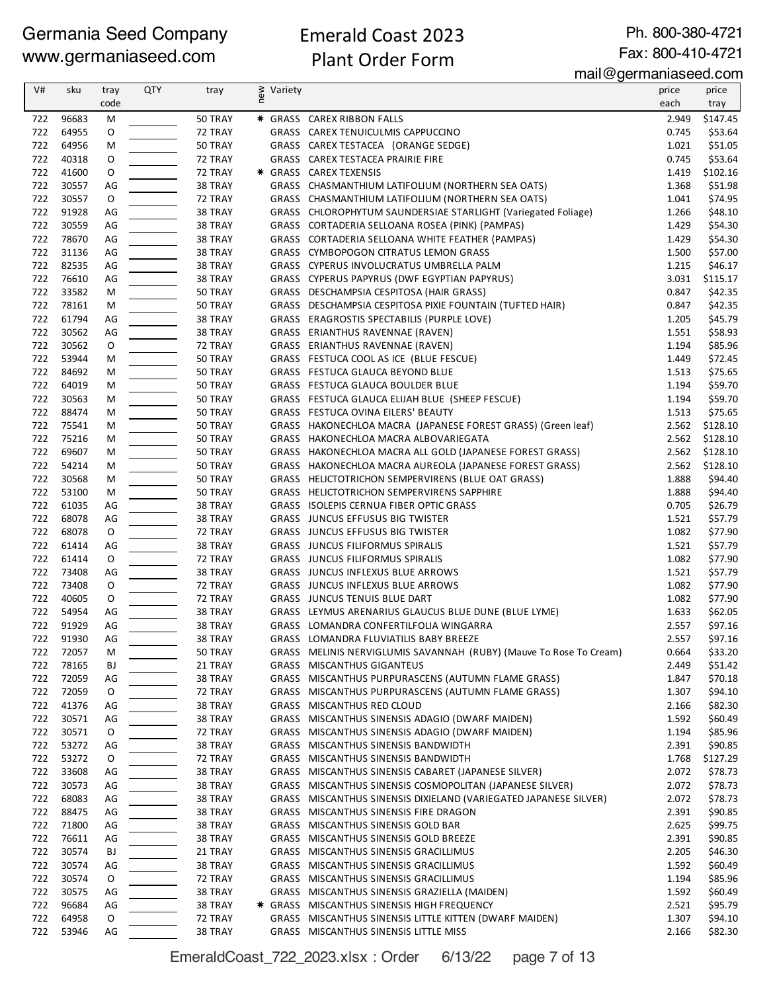#### Emerald Coast 2023 Plant Order Form

Ph. 800-380-4721

Fax: 800-410-4721 mail@germaniaseed.com

| V#         | sku            | tray    | QTY | tray               | new<br>Variety |                                                                             | price          | price              |
|------------|----------------|---------|-----|--------------------|----------------|-----------------------------------------------------------------------------|----------------|--------------------|
|            |                | code    |     |                    |                |                                                                             | each           | tray               |
| 722        | 96683          | M       |     | 50 TRAY            |                | * GRASS CAREX RIBBON FALLS                                                  | 2.949          | \$147.45           |
| 722        | 64955          | O       |     | 72 TRAY            |                | GRASS CAREX TENUICULMIS CAPPUCCINO                                          | 0.745          | \$53.64            |
| 722        | 64956          | м       |     | 50 TRAY            |                | GRASS CAREX TESTACEA (ORANGE SEDGE)                                         | 1.021          | \$51.05            |
| 722        | 40318          | O       |     | 72 TRAY            |                | GRASS CAREX TESTACEA PRAIRIE FIRE                                           | 0.745          | \$53.64            |
| 722        | 41600          | O       |     | 72 TRAY            |                | * GRASS CAREX TEXENSIS                                                      | 1.419          | \$102.16           |
| 722        | 30557          | AG      |     | 38 TRAY            |                | GRASS CHASMANTHIUM LATIFOLIUM (NORTHERN SEA OATS)                           | 1.368          | \$51.98            |
| 722        | 30557          | O       |     | 72 TRAY            |                | GRASS CHASMANTHIUM LATIFOLIUM (NORTHERN SEA OATS)                           | 1.041          | \$74.95            |
| 722        | 91928          | AG      |     | 38 TRAY            |                | GRASS CHLOROPHYTUM SAUNDERSIAE STARLIGHT (Variegated Foliage)               | 1.266          | \$48.10            |
| 722        | 30559          | AG      |     | 38 TRAY            |                | GRASS CORTADERIA SELLOANA ROSEA (PINK) (PAMPAS)                             | 1.429          | \$54.30            |
| 722        | 78670          | AG      |     | 38 TRAY            |                | GRASS CORTADERIA SELLOANA WHITE FEATHER (PAMPAS)                            | 1.429          | \$54.30            |
| 722        | 31136          | AG      |     | 38 TRAY            |                | GRASS CYMBOPOGON CITRATUS LEMON GRASS                                       | 1.500          | \$57.00            |
| 722        | 82535          | AG      |     | 38 TRAY            |                | GRASS CYPERUS INVOLUCRATUS UMBRELLA PALM                                    | 1.215          | \$46.17            |
| 722        | 76610          | AG      |     | 38 TRAY            |                | GRASS CYPERUS PAPYRUS (DWF EGYPTIAN PAPYRUS)                                | 3.031          | \$115.17           |
| 722        | 33582          | М       |     | 50 TRAY            |                | GRASS DESCHAMPSIA CESPITOSA (HAIR GRASS)                                    | 0.847          | \$42.35            |
| 722        | 78161          | М       |     | 50 TRAY            |                | GRASS DESCHAMPSIA CESPITOSA PIXIE FOUNTAIN (TUFTED HAIR)                    | 0.847          | \$42.35            |
| 722        | 61794          | AG      |     | 38 TRAY            |                | GRASS ERAGROSTIS SPECTABILIS (PURPLE LOVE)                                  | 1.205          | \$45.79            |
| 722        | 30562          | AG      |     | 38 TRAY            |                | GRASS ERIANTHUS RAVENNAE (RAVEN)                                            | 1.551          | \$58.93            |
| 722        | 30562          | O       |     | 72 TRAY            |                | GRASS ERIANTHUS RAVENNAE (RAVEN)                                            | 1.194          | \$85.96            |
| 722        | 53944          | М       |     | 50 TRAY            |                | GRASS FESTUCA COOL AS ICE (BLUE FESCUE)                                     | 1.449          | \$72.45            |
| 722        | 84692          | M       |     | 50 TRAY            |                | GRASS FESTUCA GLAUCA BEYOND BLUE                                            | 1.513          | \$75.65            |
| 722        | 64019          | M       |     | 50 TRAY            |                | GRASS FESTUCA GLAUCA BOULDER BLUE                                           | 1.194          | \$59.70            |
| 722        | 30563          | M       |     | 50 TRAY            |                | GRASS FESTUCA GLAUCA ELIJAH BLUE (SHEEP FESCUE)                             | 1.194          | \$59.70            |
| 722        | 88474          | М       |     | 50 TRAY            |                | GRASS FESTUCA OVINA EILERS' BEAUTY                                          | 1.513          | \$75.65            |
| 722        | 75541          | М       |     | 50 TRAY            |                | GRASS HAKONECHLOA MACRA (JAPANESE FOREST GRASS) (Green leaf)                | 2.562          | \$128.10           |
| 722        | 75216          | M       |     | 50 TRAY            |                | GRASS HAKONECHLOA MACRA ALBOVARIEGATA                                       | 2.562          | \$128.10           |
| 722        | 69607          | M       |     | 50 TRAY            |                | GRASS HAKONECHLOA MACRA ALL GOLD (JAPANESE FOREST GRASS)                    | 2.562          | \$128.10           |
| 722        | 54214          | M       |     | 50 TRAY            |                | GRASS HAKONECHLOA MACRA AUREOLA (JAPANESE FOREST GRASS)                     | 2.562          | \$128.10           |
| 722        | 30568          | М       |     | 50 TRAY            |                | GRASS HELICTOTRICHON SEMPERVIRENS (BLUE OAT GRASS)                          | 1.888          | \$94.40            |
| 722        | 53100          | M       |     | 50 TRAY            |                | GRASS HELICTOTRICHON SEMPERVIRENS SAPPHIRE                                  | 1.888          | \$94.40            |
| 722        | 61035          | AG      |     | 38 TRAY            |                | GRASS ISOLEPIS CERNUA FIBER OPTIC GRASS                                     | 0.705          | \$26.79            |
| 722        | 68078          | AG      |     | 38 TRAY            |                | GRASS JUNCUS EFFUSUS BIG TWISTER                                            | 1.521          | \$57.79            |
| 722<br>722 | 68078<br>61414 | O<br>AG |     | 72 TRAY            |                | GRASS JUNCUS EFFUSUS BIG TWISTER                                            | 1.082<br>1.521 | \$77.90<br>\$57.79 |
| 722        | 61414          | O       |     | 38 TRAY<br>72 TRAY |                | <b>GRASS JUNCUS FILIFORMUS SPIRALIS</b><br>GRASS JUNCUS FILIFORMUS SPIRALIS | 1.082          | \$77.90            |
| 722        | 73408          | AG      |     | 38 TRAY            |                | GRASS JUNCUS INFLEXUS BLUE ARROWS                                           | 1.521          | \$57.79            |
| 722        | 73408          | O       |     | 72 TRAY            |                | GRASS JUNCUS INFLEXUS BLUE ARROWS                                           | 1.082          | \$77.90            |
| 722        | 40605          | O       |     | 72 TRAY            |                | GRASS JUNCUS TENUIS BLUE DART                                               | 1.082          | \$77.90            |
| 722        | 54954          | AG      |     | 38 TRAY            |                | GRASS LEYMUS ARENARIUS GLAUCUS BLUE DUNE (BLUE LYME)                        | 1.633          | \$62.05            |
| 722        | 91929          | AG      |     | 38 TRAY            |                | GRASS LOMANDRA CONFERTILFOLIA WINGARRA                                      | 2.557          | \$97.16            |
| 722        | 91930          | AG      |     | 38 TRAY            |                | GRASS LOMANDRA FLUVIATILIS BABY BREEZE                                      | 2.557          | \$97.16            |
| 722        | 72057          | M       |     | 50 TRAY            |                | GRASS MELINIS NERVIGLUMIS SAVANNAH (RUBY) (Mauve To Rose To Cream)          | 0.664          | \$33.20            |
| 722        | 78165          | BJ      |     | 21 TRAY            |                | GRASS MISCANTHUS GIGANTEUS                                                  | 2.449          | \$51.42            |
| 722        | 72059          | AG      |     | 38 TRAY            |                | GRASS MISCANTHUS PURPURASCENS (AUTUMN FLAME GRASS)                          | 1.847          | \$70.18            |
| 722        | 72059          | O       |     | 72 TRAY            |                | GRASS MISCANTHUS PURPURASCENS (AUTUMN FLAME GRASS)                          | 1.307          | \$94.10            |
| 722        | 41376          | AG      |     | 38 TRAY            |                | GRASS MISCANTHUS RED CLOUD                                                  | 2.166          | \$82.30            |
| 722        | 30571          | AG      |     | 38 TRAY            |                | GRASS MISCANTHUS SINENSIS ADAGIO (DWARF MAIDEN)                             | 1.592          | \$60.49            |
| 722        | 30571          | 0       |     | 72 TRAY            |                | GRASS MISCANTHUS SINENSIS ADAGIO (DWARF MAIDEN)                             | 1.194          | \$85.96            |
| 722        | 53272          | AG      |     | 38 TRAY            |                | GRASS MISCANTHUS SINENSIS BANDWIDTH                                         | 2.391          | \$90.85            |
| 722        | 53272          | O       |     | 72 TRAY            |                | GRASS MISCANTHUS SINENSIS BANDWIDTH                                         | 1.768          | \$127.29           |
| 722        | 33608          | AG      |     | 38 TRAY            |                | GRASS MISCANTHUS SINENSIS CABARET (JAPANESE SILVER)                         | 2.072          | \$78.73            |
| 722        | 30573          | AG      |     | 38 TRAY            |                | GRASS MISCANTHUS SINENSIS COSMOPOLITAN (JAPANESE SILVER)                    | 2.072          | \$78.73            |
| 722        | 68083          | AG      |     | 38 TRAY            |                | GRASS MISCANTHUS SINENSIS DIXIELAND (VARIEGATED JAPANESE SILVER)            | 2.072          | \$78.73            |
| 722        | 88475          | AG      |     | 38 TRAY            |                | GRASS MISCANTHUS SINENSIS FIRE DRAGON                                       | 2.391          | \$90.85            |
| 722        | 71800          | AG      |     | 38 TRAY            |                | GRASS MISCANTHUS SINENSIS GOLD BAR                                          | 2.625          | \$99.75            |
| 722        | 76611          | AG      |     | 38 TRAY            |                | GRASS MISCANTHUS SINENSIS GOLD BREEZE                                       | 2.391          | \$90.85            |
| 722        | 30574          | ВJ      |     | 21 TRAY            |                | GRASS MISCANTHUS SINENSIS GRACILLIMUS                                       | 2.205          | \$46.30            |
| 722        | 30574          | AG      |     | 38 TRAY            |                | GRASS MISCANTHUS SINENSIS GRACILLIMUS                                       | 1.592          | \$60.49            |
| 722        | 30574          | 0       |     | 72 TRAY            |                | GRASS MISCANTHUS SINENSIS GRACILLIMUS                                       | 1.194          | \$85.96            |
| 722        | 30575          | AG      |     | 38 TRAY            |                | GRASS MISCANTHUS SINENSIS GRAZIELLA (MAIDEN)                                | 1.592          | \$60.49            |
| 722        | 96684          | AG      |     | 38 TRAY            |                | * GRASS MISCANTHUS SINENSIS HIGH FREQUENCY                                  | 2.521          | \$95.79            |
| 722        | 64958          | O       |     | 72 TRAY            |                | GRASS MISCANTHUS SINENSIS LITTLE KITTEN (DWARF MAIDEN)                      | 1.307          | \$94.10            |
| 722        | 53946          | AG      |     | 38 TRAY            |                | GRASS MISCANTHUS SINENSIS LITTLE MISS                                       | 2.166          | \$82.30            |

EmeraldCoast\_722\_2023.xlsx : Order 6/13/22 page 7 of 13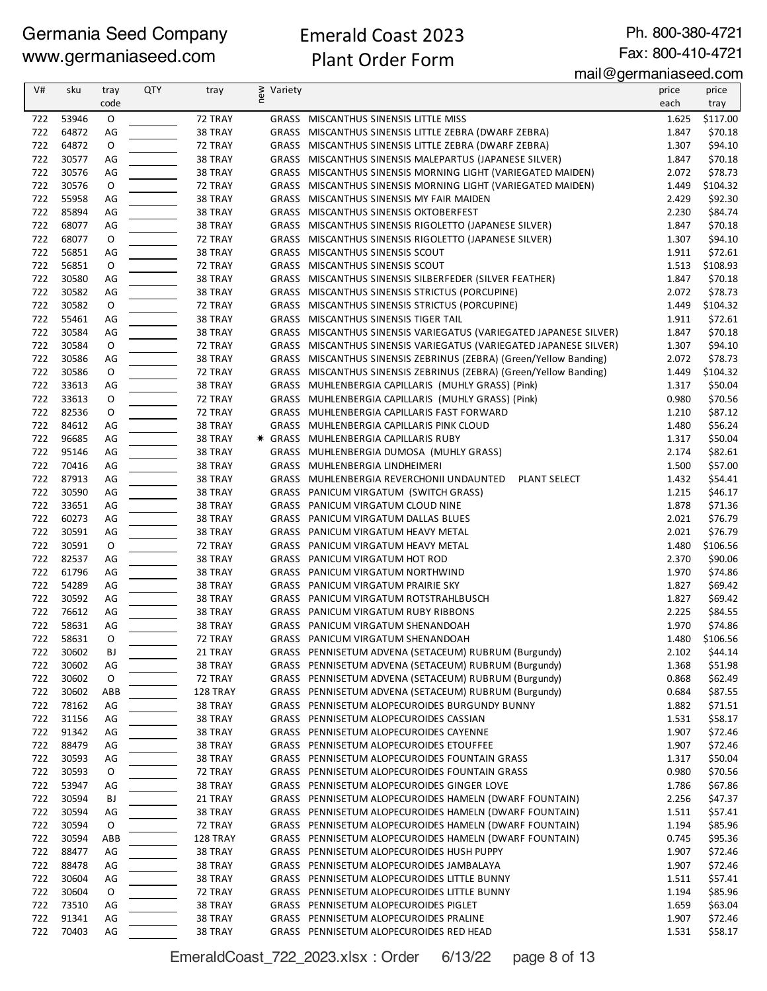#### Emerald Coast 2023 Plant Order Form

Ph. 800-380-4721 Fax: 800-410-4721

mail@germaniaseed.com

| V#         | sku            | tray     | <b>QTY</b> | tray                | ≷ Variety<br>E |                                                                                                              | price          | price              |
|------------|----------------|----------|------------|---------------------|----------------|--------------------------------------------------------------------------------------------------------------|----------------|--------------------|
|            |                | code     |            |                     |                |                                                                                                              | each           | tray               |
| 722        | 53946          | O        |            | 72 TRAY             |                | GRASS MISCANTHUS SINENSIS LITTLE MISS                                                                        | 1.625          | \$117.00           |
| 722        | 64872          | AG       |            | 38 TRAY             |                | GRASS MISCANTHUS SINENSIS LITTLE ZEBRA (DWARF ZEBRA)                                                         | 1.847          | \$70.18            |
| 722        | 64872          | O        |            | 72 TRAY             |                | GRASS MISCANTHUS SINENSIS LITTLE ZEBRA (DWARF ZEBRA)                                                         | 1.307          | \$94.10            |
| 722        | 30577          | AG       |            | 38 TRAY             |                | GRASS MISCANTHUS SINENSIS MALEPARTUS (JAPANESE SILVER)                                                       | 1.847          | \$70.18            |
| 722        | 30576          | AG       |            | 38 TRAY             |                | GRASS MISCANTHUS SINENSIS MORNING LIGHT (VARIEGATED MAIDEN)                                                  | 2.072          | \$78.73            |
| 722        | 30576          | O        |            | 72 TRAY             |                | GRASS MISCANTHUS SINENSIS MORNING LIGHT (VARIEGATED MAIDEN)                                                  | 1.449          | \$104.32           |
| 722        | 55958          | AG       |            | 38 TRAY             |                | GRASS MISCANTHUS SINENSIS MY FAIR MAIDEN                                                                     | 2.429          | \$92.30            |
| 722        | 85894          | AG       |            | 38 TRAY             |                | GRASS MISCANTHUS SINENSIS OKTOBERFEST                                                                        | 2.230          | \$84.74            |
| 722        | 68077          | AG       |            | 38 TRAY             |                | GRASS MISCANTHUS SINENSIS RIGOLETTO (JAPANESE SILVER)                                                        | 1.847          | \$70.18            |
| 722        | 68077          | O        |            | 72 TRAY             |                | GRASS MISCANTHUS SINENSIS RIGOLETTO (JAPANESE SILVER)                                                        | 1.307          | \$94.10            |
| 722        | 56851          | AG       |            | 38 TRAY             |                | GRASS MISCANTHUS SINENSIS SCOUT                                                                              | 1.911          | \$72.61            |
| 722        | 56851          | O        |            | 72 TRAY             |                | GRASS MISCANTHUS SINENSIS SCOUT                                                                              | 1.513          | \$108.93           |
| 722        | 30580          | AG       |            | 38 TRAY             |                | GRASS MISCANTHUS SINENSIS SILBERFEDER (SILVER FEATHER)                                                       | 1.847          | \$70.18            |
| 722        | 30582          | AG       |            | 38 TRAY             |                | GRASS MISCANTHUS SINENSIS STRICTUS (PORCUPINE)                                                               | 2.072          | \$78.73            |
| 722        | 30582          | O        |            | 72 TRAY             |                | GRASS MISCANTHUS SINENSIS STRICTUS (PORCUPINE)                                                               | 1.449          | \$104.32           |
| 722        | 55461          | AG       |            | 38 TRAY             |                | GRASS MISCANTHUS SINENSIS TIGER TAIL                                                                         | 1.911          | \$72.61            |
| 722        | 30584          | AG       |            | 38 TRAY             |                | GRASS MISCANTHUS SINENSIS VARIEGATUS (VARIEGATED JAPANESE SILVER)                                            | 1.847          | \$70.18            |
| 722        | 30584          | 0        |            | 72 TRAY             |                | GRASS MISCANTHUS SINENSIS VARIEGATUS (VARIEGATED JAPANESE SILVER)                                            | 1.307          | \$94.10            |
| 722        | 30586          | AG       |            | 38 TRAY             |                | GRASS MISCANTHUS SINENSIS ZEBRINUS (ZEBRA) (Green/Yellow Banding)                                            | 2.072          | \$78.73            |
| 722        | 30586          | O        |            | 72 TRAY             |                | GRASS MISCANTHUS SINENSIS ZEBRINUS (ZEBRA) (Green/Yellow Banding)                                            | 1.449          | \$104.32           |
| 722        | 33613          | AG       |            | 38 TRAY             |                | GRASS MUHLENBERGIA CAPILLARIS (MUHLY GRASS) (Pink)                                                           | 1.317          | \$50.04            |
| 722        | 33613          | O        |            | 72 TRAY             |                | GRASS MUHLENBERGIA CAPILLARIS (MUHLY GRASS) (Pink)                                                           | 0.980          | \$70.56            |
| 722        | 82536          | 0        |            | 72 TRAY             |                | GRASS MUHLENBERGIA CAPILLARIS FAST FORWARD                                                                   | 1.210          | \$87.12            |
| 722        | 84612          | AG       |            | 38 TRAY             |                | GRASS MUHLENBERGIA CAPILLARIS PINK CLOUD                                                                     | 1.480          | \$56.24            |
| 722        | 96685          | AG       |            | 38 TRAY             |                | * GRASS MUHLENBERGIA CAPILLARIS RUBY                                                                         | 1.317          | \$50.04            |
| 722        | 95146          | AG       |            | 38 TRAY             |                | GRASS MUHLENBERGIA DUMOSA (MUHLY GRASS)                                                                      | 2.174          | \$82.61            |
| 722        | 70416          | AG       |            | 38 TRAY             |                | GRASS MUHLENBERGIA LINDHEIMERI                                                                               | 1.500          | \$57.00            |
| 722        | 87913          | AG       |            | 38 TRAY             |                | GRASS MUHLENBERGIA REVERCHONII UNDAUNTED<br>PLANT SELECT                                                     | 1.432          | \$54.41            |
| 722        | 30590          | AG       |            | 38 TRAY             |                | GRASS PANICUM VIRGATUM (SWITCH GRASS)                                                                        | 1.215          | \$46.17            |
| 722        | 33651          | AG       |            | 38 TRAY             |                | GRASS PANICUM VIRGATUM CLOUD NINE                                                                            | 1.878          | \$71.36            |
| 722        | 60273          | AG       |            | 38 TRAY             |                | GRASS PANICUM VIRGATUM DALLAS BLUES                                                                          | 2.021          | \$76.79            |
| 722        | 30591          | AG       |            | 38 TRAY             |                | GRASS PANICUM VIRGATUM HEAVY METAL                                                                           | 2.021          | \$76.79            |
| 722        | 30591          | O        |            | 72 TRAY             |                | GRASS PANICUM VIRGATUM HEAVY METAL                                                                           | 1.480          | \$106.56           |
| 722        | 82537          | AG       |            | 38 TRAY             |                | GRASS PANICUM VIRGATUM HOT ROD                                                                               | 2.370          | \$90.06            |
| 722        | 61796          | AG       |            | 38 TRAY             |                | GRASS PANICUM VIRGATUM NORTHWIND                                                                             | 1.970          | \$74.86            |
| 722        | 54289          | AG       |            | 38 TRAY             |                | GRASS PANICUM VIRGATUM PRAIRIE SKY                                                                           | 1.827          | \$69.42            |
| 722        | 30592          | AG       |            | 38 TRAY             |                | GRASS PANICUM VIRGATUM ROTSTRAHLBUSCH                                                                        | 1.827          | \$69.42            |
| 722<br>722 | 76612          | AG       |            | 38 TRAY             |                | GRASS PANICUM VIRGATUM RUBY RIBBONS                                                                          | 2.225          | \$84.55            |
|            | 58631          | AG<br>O  |            | 38 TRAY             |                | GRASS PANICUM VIRGATUM SHENANDOAH                                                                            | 1.970          | \$74.86            |
| 722        | 58631          |          |            | 72 TRAY             |                | GRASS PANICUM VIRGATUM SHENANDOAH                                                                            | 1.480          | \$106.56           |
| 722        | 30602          | BJ       |            | 21 TRAY             |                | GRASS PENNISETUM ADVENA (SETACEUM) RUBRUM (Burgundy)<br>GRASS PENNISETUM ADVENA (SETACEUM) RUBRUM (Burgundy) | 2.102          | \$44.14<br>\$51.98 |
| 722        | 30602          | AG       |            | 38 TRAY             |                | GRASS PENNISETUM ADVENA (SETACEUM) RUBRUM (Burgundy)                                                         | 1.368          |                    |
| 722<br>722 | 30602<br>30602 | O<br>ABB |            | 72 TRAY<br>128 TRAY |                | GRASS PENNISETUM ADVENA (SETACEUM) RUBRUM (Burgundy)                                                         | 0.868<br>0.684 | \$62.49<br>\$87.55 |
| 722        | 78162          |          |            | 38 TRAY             |                | GRASS PENNISETUM ALOPECUROIDES BURGUNDY BUNNY                                                                | 1.882          | \$71.51            |
| 722        | 31156          | AG<br>AG |            | 38 TRAY             |                | GRASS PENNISETUM ALOPECUROIDES CASSIAN                                                                       | 1.531          | \$58.17            |
| 722        | 91342          | AG       |            | 38 TRAY             |                | GRASS PENNISETUM ALOPECUROIDES CAYENNE                                                                       | 1.907          | \$72.46            |
| 722        | 88479          | AG       |            | 38 TRAY             |                | GRASS PENNISETUM ALOPECUROIDES ETOUFFEE                                                                      | 1.907          | \$72.46            |
| 722        | 30593          | AG       |            | 38 TRAY             |                | GRASS PENNISETUM ALOPECUROIDES FOUNTAIN GRASS                                                                | 1.317          | \$50.04            |
| 722        | 30593          | 0        |            | 72 TRAY             |                | GRASS PENNISETUM ALOPECUROIDES FOUNTAIN GRASS                                                                | 0.980          | \$70.56            |
| 722        | 53947          | AG       |            | 38 TRAY             |                | GRASS PENNISETUM ALOPECUROIDES GINGER LOVE                                                                   | 1.786          | \$67.86            |
| 722        | 30594          | ВJ       |            | 21 TRAY             |                | GRASS PENNISETUM ALOPECUROIDES HAMELN (DWARF FOUNTAIN)                                                       | 2.256          | \$47.37            |
| 722        | 30594          | AG       |            | 38 TRAY             |                | GRASS PENNISETUM ALOPECUROIDES HAMELN (DWARF FOUNTAIN)                                                       | 1.511          | \$57.41            |
| 722        | 30594          | 0        |            | 72 TRAY             |                | GRASS PENNISETUM ALOPECUROIDES HAMELN (DWARF FOUNTAIN)                                                       | 1.194          | \$85.96            |
| 722        | 30594          | ABB      |            | 128 TRAY            |                | GRASS PENNISETUM ALOPECUROIDES HAMELN (DWARF FOUNTAIN)                                                       | 0.745          | \$95.36            |
| 722        | 88477          | AG       |            | 38 TRAY             |                | GRASS PENNISETUM ALOPECUROIDES HUSH PUPPY                                                                    | 1.907          | \$72.46            |
| 722        | 88478          | AG       |            | 38 TRAY             |                | GRASS PENNISETUM ALOPECUROIDES JAMBALAYA                                                                     | 1.907          | \$72.46            |
| 722        | 30604          | AG       |            | 38 TRAY             |                | GRASS PENNISETUM ALOPECUROIDES LITTLE BUNNY                                                                  | 1.511          | \$57.41            |
| 722        | 30604          | 0        |            | 72 TRAY             |                | GRASS PENNISETUM ALOPECUROIDES LITTLE BUNNY                                                                  | 1.194          | \$85.96            |
| 722        | 73510          | AG       |            | 38 TRAY             |                | GRASS PENNISETUM ALOPECUROIDES PIGLET                                                                        | 1.659          | \$63.04            |
| 722        | 91341          | AG       |            | 38 TRAY             |                | GRASS PENNISETUM ALOPECUROIDES PRALINE                                                                       | 1.907          | \$72.46            |
| 722        | 70403          | AG       |            | 38 TRAY             |                | GRASS PENNISETUM ALOPECUROIDES RED HEAD                                                                      | 1.531          | \$58.17            |
|            |                |          |            |                     |                |                                                                                                              |                |                    |

EmeraldCoast\_722\_2023.xlsx : Order 6/13/22 page 8 of 13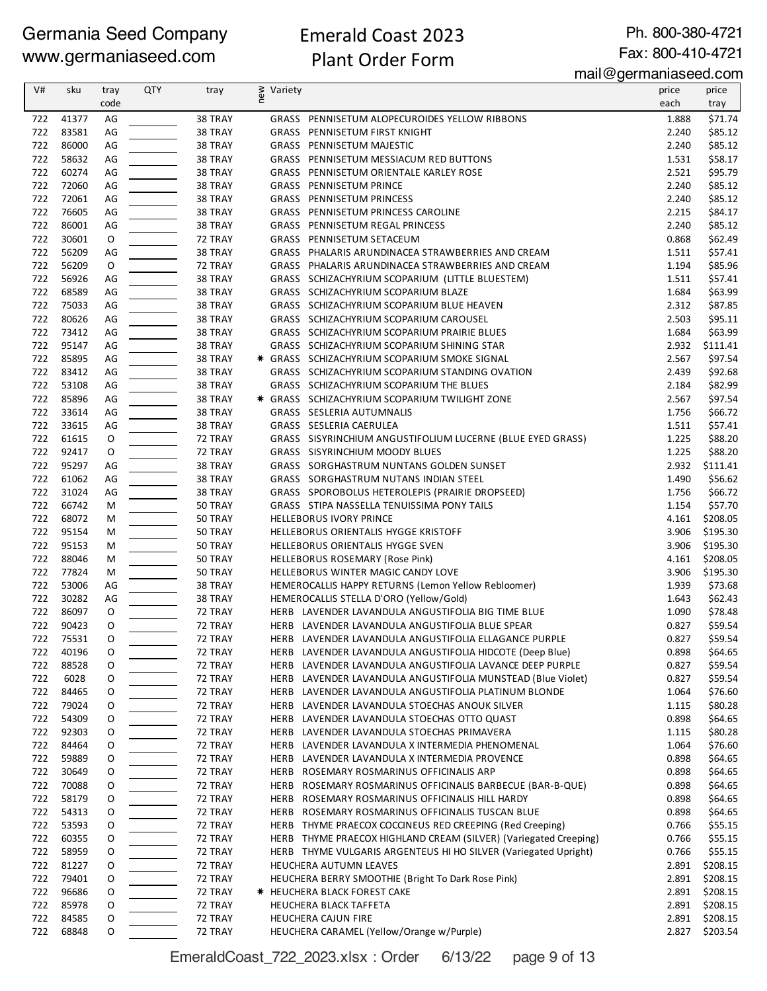#### Emerald Coast 2023 Plant Order Form

Ph. 800-380-4721 Fax: 800-410-4721

mail@germaniaseed.com

| V#         | sku   | tray     | <b>QTY</b> | tray    | § Variety |                                                                                | price | price    |
|------------|-------|----------|------------|---------|-----------|--------------------------------------------------------------------------------|-------|----------|
|            |       | code     |            |         | Ē         |                                                                                | each  | tray     |
|            | 41377 | AG       |            | 38 TRAY |           |                                                                                | 1.888 | \$71.74  |
| 722<br>722 | 83581 | AG       |            | 38 TRAY |           | GRASS PENNISETUM ALOPECUROIDES YELLOW RIBBONS<br>GRASS PENNISETUM FIRST KNIGHT | 2.240 | \$85.12  |
| 722        | 86000 | AG       |            | 38 TRAY |           | <b>GRASS PENNISETUM MAJESTIC</b>                                               | 2.240 | \$85.12  |
| 722        | 58632 | AG       |            | 38 TRAY |           | GRASS PENNISETUM MESSIACUM RED BUTTONS                                         | 1.531 | \$58.17  |
| 722        | 60274 |          |            | 38 TRAY |           | GRASS PENNISETUM ORIENTALE KARLEY ROSE                                         | 2.521 | \$95.79  |
| 722        | 72060 | AG<br>AG |            | 38 TRAY |           | GRASS PENNISETUM PRINCE                                                        | 2.240 | \$85.12  |
| 722        | 72061 | AG       |            | 38 TRAY |           | GRASS PENNISETUM PRINCESS                                                      | 2.240 | \$85.12  |
| 722        | 76605 | AG       |            | 38 TRAY |           | GRASS PENNISETUM PRINCESS CAROLINE                                             | 2.215 | \$84.17  |
| 722        | 86001 | AG       |            | 38 TRAY |           | GRASS PENNISETUM REGAL PRINCESS                                                | 2.240 | \$85.12  |
| 722        | 30601 | O        |            | 72 TRAY |           | GRASS PENNISETUM SETACEUM                                                      | 0.868 | \$62.49  |
| 722        | 56209 | AG       |            | 38 TRAY |           | GRASS PHALARIS ARUNDINACEA STRAWBERRIES AND CREAM                              | 1.511 | \$57.41  |
| 722        | 56209 | O        |            | 72 TRAY |           | GRASS PHALARIS ARUNDINACEA STRAWBERRIES AND CREAM                              | 1.194 | \$85.96  |
| 722        | 56926 | AG       |            | 38 TRAY |           | GRASS SCHIZACHYRIUM SCOPARIUM (LITTLE BLUESTEM)                                | 1.511 | \$57.41  |
| 722        | 68589 | AG       |            | 38 TRAY |           | GRASS SCHIZACHYRIUM SCOPARIUM BLAZE                                            | 1.684 | \$63.99  |
| 722        | 75033 | AG       |            | 38 TRAY |           | GRASS SCHIZACHYRIUM SCOPARIUM BLUE HEAVEN                                      | 2.312 | \$87.85  |
| 722        | 80626 | AG       |            | 38 TRAY |           | GRASS SCHIZACHYRIUM SCOPARIUM CAROUSEL                                         | 2.503 | \$95.11  |
| 722        | 73412 | AG       |            | 38 TRAY |           | GRASS SCHIZACHYRIUM SCOPARIUM PRAIRIE BLUES                                    | 1.684 | \$63.99  |
| 722        | 95147 | AG       |            | 38 TRAY |           | GRASS SCHIZACHYRIUM SCOPARIUM SHINING STAR                                     | 2.932 | \$111.41 |
| 722        | 85895 | AG       |            | 38 TRAY |           | * GRASS SCHIZACHYRIUM SCOPARIUM SMOKE SIGNAL                                   | 2.567 | \$97.54  |
| 722        | 83412 | AG       |            | 38 TRAY |           | GRASS SCHIZACHYRIUM SCOPARIUM STANDING OVATION                                 | 2.439 | \$92.68  |
| 722        | 53108 | AG       |            | 38 TRAY |           | GRASS SCHIZACHYRIUM SCOPARIUM THE BLUES                                        | 2.184 | \$82.99  |
| 722        | 85896 | AG       |            | 38 TRAY |           | * GRASS SCHIZACHYRIUM SCOPARIUM TWILIGHT ZONE                                  | 2.567 | \$97.54  |
| 722        | 33614 | AG       |            | 38 TRAY |           | GRASS SESLERIA AUTUMNALIS                                                      | 1.756 | \$66.72  |
| 722        | 33615 | AG       |            | 38 TRAY |           | GRASS SESLERIA CAERULEA                                                        | 1.511 | \$57.41  |
| 722        | 61615 | O        |            | 72 TRAY |           | GRASS SISYRINCHIUM ANGUSTIFOLIUM LUCERNE (BLUE EYED GRASS)                     | 1.225 | \$88.20  |
| 722        | 92417 | O        |            | 72 TRAY |           | GRASS SISYRINCHIUM MOODY BLUES                                                 | 1.225 | \$88.20  |
| 722        | 95297 | AG       |            | 38 TRAY |           | GRASS SORGHASTRUM NUNTANS GOLDEN SUNSET                                        | 2.932 | \$111.41 |
| 722        | 61062 | AG       |            | 38 TRAY |           | GRASS SORGHASTRUM NUTANS INDIAN STEEL                                          | 1.490 | \$56.62  |
| 722        | 31024 | AG       |            | 38 TRAY |           | GRASS SPOROBOLUS HETEROLEPIS (PRAIRIE DROPSEED)                                | 1.756 | \$66.72  |
| 722        | 66742 | М        |            | 50 TRAY |           | GRASS STIPA NASSELLA TENUISSIMA PONY TAILS                                     | 1.154 | \$57.70  |
| 722        | 68072 | M        |            | 50 TRAY |           | <b>HELLEBORUS IVORY PRINCE</b>                                                 | 4.161 | \$208.05 |
| 722        | 95154 | M        |            | 50 TRAY |           | HELLEBORUS ORIENTALIS HYGGE KRISTOFF                                           | 3.906 | \$195.30 |
| 722        | 95153 | M        |            | 50 TRAY |           | HELLEBORUS ORIENTALIS HYGGE SVEN                                               | 3.906 | \$195.30 |
| 722        | 88046 | M        |            | 50 TRAY |           | HELLEBORUS ROSEMARY (Rose Pink)                                                | 4.161 | \$208.05 |
| 722        | 77824 | М        |            | 50 TRAY |           | HELLEBORUS WINTER MAGIC CANDY LOVE                                             | 3.906 | \$195.30 |
| 722        | 53006 | AG       |            | 38 TRAY |           | HEMEROCALLIS HAPPY RETURNS (Lemon Yellow Rebloomer)                            | 1.939 | \$73.68  |
| 722        | 30282 | AG       |            | 38 TRAY |           | HEMEROCALLIS STELLA D'ORO (Yellow/Gold)                                        | 1.643 | \$62.43  |
| 722        | 86097 | O        |            | 72 TRAY |           | HERB LAVENDER LAVANDULA ANGUSTIFOLIA BIG TIME BLUE                             | 1.090 | \$78.48  |
| 722        | 90423 | O        |            | 72 TRAY |           | HERB LAVENDER LAVANDULA ANGUSTIFOLIA BLUE SPEAR                                | 0.827 | \$59.54  |
| 722        | 75531 | 0        |            | 72 TRAY |           | HERB LAVENDER LAVANDULA ANGUSTIFOLIA ELLAGANCE PURPLE                          | 0.827 | \$59.54  |
| 722        | 40196 | O        |            | 72 TRAY |           | HERB LAVENDER LAVANDULA ANGUSTIFOLIA HIDCOTE (Deep Blue)                       | 0.898 | \$64.65  |
| 722        | 88528 | 0        |            | 72 TRAY |           | HERB LAVENDER LAVANDULA ANGUSTIFOLIA LAVANCE DEEP PURPLE                       | 0.827 | \$59.54  |
| 722        | 6028  | O        |            | 72 TRAY |           | HERB LAVENDER LAVANDULA ANGUSTIFOLIA MUNSTEAD (Blue Violet)                    | 0.827 | \$59.54  |
| 722        | 84465 | O        |            | 72 TRAY |           | HERB LAVENDER LAVANDULA ANGUSTIFOLIA PLATINUM BLONDE                           | 1.064 | \$76.60  |
| 722        | 79024 | 0        |            | 72 TRAY |           | HERB LAVENDER LAVANDULA STOECHAS ANOUK SILVER                                  | 1.115 | \$80.28  |
| 722        | 54309 | 0        |            | 72 TRAY |           | HERB LAVENDER LAVANDULA STOECHAS OTTO QUAST                                    | 0.898 | \$64.65  |
| 722        | 92303 | 0        |            | 72 TRAY |           | HERB LAVENDER LAVANDULA STOECHAS PRIMAVERA                                     | 1.115 | \$80.28  |
| 722        | 84464 | 0        |            | 72 TRAY |           | HERB LAVENDER LAVANDULA X INTERMEDIA PHENOMENAL                                | 1.064 | \$76.60  |
| 722        | 59889 | 0        |            | 72 TRAY |           | HERB LAVENDER LAVANDULA X INTERMEDIA PROVENCE                                  | 0.898 | \$64.65  |
| 722        | 30649 | 0        |            | 72 TRAY |           | HERB ROSEMARY ROSMARINUS OFFICINALIS ARP                                       | 0.898 | \$64.65  |
| 722        | 70088 | 0        |            | 72 TRAY |           | HERB ROSEMARY ROSMARINUS OFFICINALIS BARBECUE (BAR-B-QUE)                      | 0.898 | \$64.65  |
| 722        | 58179 | 0        |            | 72 TRAY |           | HERB ROSEMARY ROSMARINUS OFFICINALIS HILL HARDY                                | 0.898 | \$64.65  |
| 722        | 54313 | 0        |            | 72 TRAY |           | HERB ROSEMARY ROSMARINUS OFFICINALIS TUSCAN BLUE                               | 0.898 | \$64.65  |
| 722        | 53593 | 0        |            | 72 TRAY |           | HERB THYME PRAECOX COCCINEUS RED CREEPING (Red Creeping)                       | 0.766 | \$55.15  |
| 722        | 60355 | 0        |            | 72 TRAY |           | HERB THYME PRAECOX HIGHLAND CREAM (SILVER) (Variegated Creeping)               | 0.766 | \$55.15  |
| 722        | 58959 | O        |            | 72 TRAY |           | HERB THYME VULGARIS ARGENTEUS HI HO SILVER (Variegated Upright)                | 0.766 | \$55.15  |
| 722        | 81227 | O        |            | 72 TRAY |           | HEUCHERA AUTUMN LEAVES                                                         | 2.891 | \$208.15 |
| 722        | 79401 | 0        |            | 72 TRAY |           | HEUCHERA BERRY SMOOTHIE (Bright To Dark Rose Pink)                             | 2.891 | \$208.15 |
| 722        | 96686 | 0        |            | 72 TRAY |           | <b>★ HEUCHERA BLACK FOREST CAKE</b>                                            | 2.891 | \$208.15 |
| 722        | 85978 | O        |            | 72 TRAY |           | <b>HEUCHERA BLACK TAFFETA</b>                                                  | 2.891 | \$208.15 |
| 722        | 84585 | O        |            | 72 TRAY |           | HEUCHERA CAJUN FIRE                                                            | 2.891 | \$208.15 |
| 722        | 68848 | O        |            | 72 TRAY |           | HEUCHERA CARAMEL (Yellow/Orange w/Purple)                                      | 2.827 | \$203.54 |

EmeraldCoast\_722\_2023.xlsx : Order 6/13/22 page 9 of 13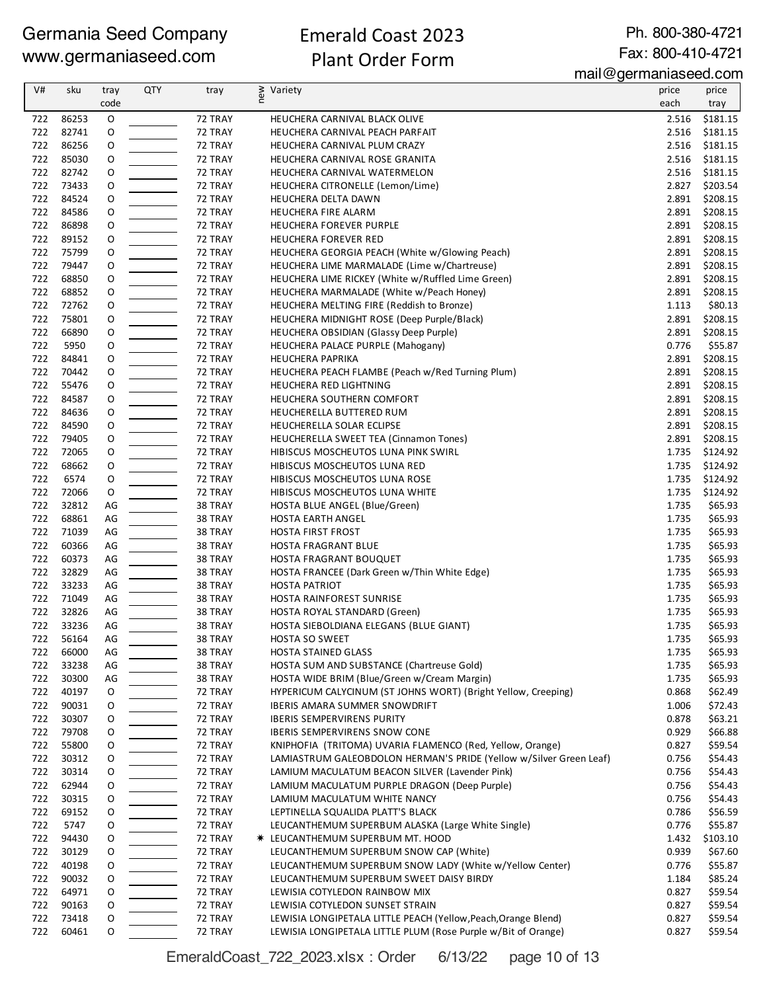### Emerald Coast 2023 Plant Order Form

Ph. 800-380-4721 Fax: 800-410-4721

mail@germaniaseed.com

| V#         | sku            | tray<br>code | QTY | tray               | ≥ Variety<br>E                                                             | price<br>each  | price<br>tray        |
|------------|----------------|--------------|-----|--------------------|----------------------------------------------------------------------------|----------------|----------------------|
| 722        | 86253          | O            |     | 72 TRAY            | HEUCHERA CARNIVAL BLACK OLIVE                                              | 2.516          | \$181.15             |
| 722        | 82741          | O            |     | 72 TRAY            | HEUCHERA CARNIVAL PEACH PARFAIT                                            | 2.516          | \$181.15             |
| 722        | 86256          | O            |     | 72 TRAY            | HEUCHERA CARNIVAL PLUM CRAZY                                               | 2.516          | \$181.15             |
| 722        | 85030          | O            |     | 72 TRAY            | HEUCHERA CARNIVAL ROSE GRANITA                                             | 2.516          | \$181.15             |
| 722        | 82742          | O            |     | 72 TRAY            | HEUCHERA CARNIVAL WATERMELON                                               | 2.516          | \$181.15             |
| 722        | 73433          | O            |     | 72 TRAY            | HEUCHERA CITRONELLE (Lemon/Lime)                                           | 2.827          | \$203.54             |
| 722        | 84524          | O            |     | 72 TRAY            | HEUCHERA DELTA DAWN                                                        | 2.891          | \$208.15             |
| 722<br>722 | 84586<br>86898 | O<br>0       |     | 72 TRAY<br>72 TRAY | HEUCHERA FIRE ALARM<br>HEUCHERA FOREVER PURPLE                             | 2.891<br>2.891 | \$208.15<br>\$208.15 |
| 722        | 89152          | 0            |     | 72 TRAY            | <b>HEUCHERA FOREVER RED</b>                                                | 2.891          | \$208.15             |
| 722        | 75799          | O            |     | 72 TRAY            | HEUCHERA GEORGIA PEACH (White w/Glowing Peach)                             | 2.891          | \$208.15             |
| 722        | 79447          | O            |     | 72 TRAY            | HEUCHERA LIME MARMALADE (Lime w/Chartreuse)                                | 2.891          | \$208.15             |
| 722        | 68850          | O            |     | 72 TRAY            | HEUCHERA LIME RICKEY (White w/Ruffled Lime Green)                          | 2.891          | \$208.15             |
| 722        | 68852          | O            |     | 72 TRAY            | HEUCHERA MARMALADE (White w/Peach Honey)                                   | 2.891          | \$208.15             |
| 722        | 72762          | 0            |     | 72 TRAY            | HEUCHERA MELTING FIRE (Reddish to Bronze)                                  | 1.113          | \$80.13              |
| 722        | 75801          | O            |     | 72 TRAY            | HEUCHERA MIDNIGHT ROSE (Deep Purple/Black)                                 | 2.891          | \$208.15             |
| 722        | 66890          | O            |     | 72 TRAY            | HEUCHERA OBSIDIAN (Glassy Deep Purple)                                     | 2.891          | \$208.15             |
| 722        | 5950           | O            |     | 72 TRAY            | HEUCHERA PALACE PURPLE (Mahogany)                                          | 0.776          | \$55.87              |
| 722<br>722 | 84841<br>70442 | O            |     | 72 TRAY            | <b>HEUCHERA PAPRIKA</b>                                                    | 2.891<br>2.891 | \$208.15<br>\$208.15 |
| 722        | 55476          | O<br>0       |     | 72 TRAY<br>72 TRAY | HEUCHERA PEACH FLAMBE (Peach w/Red Turning Plum)<br>HEUCHERA RED LIGHTNING | 2.891          | \$208.15             |
| 722        | 84587          | O            |     | 72 TRAY            | HEUCHERA SOUTHERN COMFORT                                                  | 2.891          | \$208.15             |
| 722        | 84636          | O            |     | 72 TRAY            | HEUCHERELLA BUTTERED RUM                                                   | 2.891          | \$208.15             |
| 722        | 84590          | O            |     | 72 TRAY            | HEUCHERELLA SOLAR ECLIPSE                                                  | 2.891          | \$208.15             |
| 722        | 79405          | O            |     | 72 TRAY            | HEUCHERELLA SWEET TEA (Cinnamon Tones)                                     | 2.891          | \$208.15             |
| 722        | 72065          | O            |     | 72 TRAY            | HIBISCUS MOSCHEUTOS LUNA PINK SWIRL                                        | 1.735          | \$124.92             |
| 722        | 68662          | O            |     | 72 TRAY            | HIBISCUS MOSCHEUTOS LUNA RED                                               | 1.735          | \$124.92             |
| 722        | 6574           | O            |     | 72 TRAY            | HIBISCUS MOSCHEUTOS LUNA ROSE                                              | 1.735          | \$124.92             |
| 722        | 72066          | O            |     | 72 TRAY            | HIBISCUS MOSCHEUTOS LUNA WHITE                                             | 1.735          | \$124.92             |
| 722        | 32812          | AG           |     | 38 TRAY            | HOSTA BLUE ANGEL (Blue/Green)                                              | 1.735          | \$65.93              |
| 722        | 68861          | AG           |     | 38 TRAY            | <b>HOSTA EARTH ANGEL</b>                                                   | 1.735          | \$65.93              |
| 722<br>722 | 71039<br>60366 | AG           |     | 38 TRAY            | <b>HOSTA FIRST FROST</b>                                                   | 1.735          | \$65.93<br>\$65.93   |
| 722        | 60373          | AG<br>AG     |     | 38 TRAY<br>38 TRAY | HOSTA FRAGRANT BLUE<br>HOSTA FRAGRANT BOUQUET                              | 1.735<br>1.735 | \$65.93              |
| 722        | 32829          | AG           |     | 38 TRAY            | HOSTA FRANCEE (Dark Green w/Thin White Edge)                               | 1.735          | \$65.93              |
| 722        | 33233          | AG           |     | 38 TRAY            | <b>HOSTA PATRIOT</b>                                                       | 1.735          | \$65.93              |
| 722        | 71049          | AG           |     | 38 TRAY            | HOSTA RAINFOREST SUNRISE                                                   | 1.735          | \$65.93              |
| 722        | 32826          | AG           |     | 38 TRAY            | HOSTA ROYAL STANDARD (Green)                                               | 1.735          | \$65.93              |
| 722        | 33236          | AG           |     | 38 TRAY            | HOSTA SIEBOLDIANA ELEGANS (BLUE GIANT)                                     | 1.735          | \$65.93              |
| 722        | 56164          | AG           |     | 38 TRAY            | <b>HOSTA SO SWEET</b>                                                      | 1.735          | \$65.93              |
| 722        | 66000          | AG           |     | 38 TRAY            | <b>HOSTA STAINED GLASS</b>                                                 | 1.735          | \$65.93              |
| 722        | 33238          | AG           |     | 38 TRAY            | HOSTA SUM AND SUBSTANCE (Chartreuse Gold)                                  | 1.735          | \$65.93              |
| 722        | 30300          | AG           |     | 38 TRAY            | HOSTA WIDE BRIM (Blue/Green w/Cream Margin)                                | 1.735          | \$65.93              |
| 722        | 40197          | O            |     | 72 TRAY            | HYPERICUM CALYCINUM (ST JOHNS WORT) (Bright Yellow, Creeping)              | 0.868          | \$62.49              |
| 722<br>722 | 90031<br>30307 | 0<br>O       |     | 72 TRAY<br>72 TRAY | <b>IBERIS AMARA SUMMER SNOWDRIFT</b><br><b>IBERIS SEMPERVIRENS PURITY</b>  | 1.006<br>0.878 | \$72.43<br>\$63.21   |
| 722        | 79708          | O            |     | 72 TRAY            | <b>IBERIS SEMPERVIRENS SNOW CONE</b>                                       | 0.929          | \$66.88              |
| 722        | 55800          | O            |     | 72 TRAY            | KNIPHOFIA (TRITOMA) UVARIA FLAMENCO (Red, Yellow, Orange)                  | 0.827          | \$59.54              |
| 722        | 30312          | 0            |     | 72 TRAY            | LAMIASTRUM GALEOBDOLON HERMAN'S PRIDE (Yellow w/Silver Green Leaf)         | 0.756          | \$54.43              |
| 722        | 30314          | 0            |     | 72 TRAY            | LAMIUM MACULATUM BEACON SILVER (Lavender Pink)                             | 0.756          | \$54.43              |
| 722        | 62944          | O            |     | 72 TRAY            | LAMIUM MACULATUM PURPLE DRAGON (Deep Purple)                               | 0.756          | \$54.43              |
| 722        | 30315          | 0            |     | 72 TRAY            | LAMIUM MACULATUM WHITE NANCY                                               | 0.756          | \$54.43              |
| 722        | 69152          | 0            |     | 72 TRAY            | LEPTINELLA SQUALIDA PLATT'S BLACK                                          | 0.786          | \$56.59              |
| 722        | 5747           | 0            |     | 72 TRAY            | LEUCANTHEMUM SUPERBUM ALASKA (Large White Single)                          | 0.776          | \$55.87              |
| 722        | 94430          | O            |     | 72 TRAY            | <b>* LEUCANTHEMUM SUPERBUM MT. HOOD</b>                                    | 1.432          | \$103.10             |
| 722        | 30129          | O            |     | 72 TRAY            | LEUCANTHEMUM SUPERBUM SNOW CAP (White)                                     | 0.939          | \$67.60              |
| 722        | 40198          | 0            |     | 72 TRAY            | LEUCANTHEMUM SUPERBUM SNOW LADY (White w/Yellow Center)                    | 0.776          | \$55.87              |
| 722<br>722 | 90032<br>64971 | 0<br>0       |     | 72 TRAY<br>72 TRAY | LEUCANTHEMUM SUPERBUM SWEET DAISY BIRDY<br>LEWISIA COTYLEDON RAINBOW MIX   | 1.184<br>0.827 | \$85.24<br>\$59.54   |
| 722        | 90163          | O            |     | 72 TRAY            | LEWISIA COTYLEDON SUNSET STRAIN                                            | 0.827          | \$59.54              |
| 722        | 73418          | O            |     | 72 TRAY            | LEWISIA LONGIPETALA LITTLE PEACH (Yellow, Peach, Orange Blend)             | 0.827          | \$59.54              |
| 722        | 60461          | 0            |     | 72 TRAY            | LEWISIA LONGIPETALA LITTLE PLUM (Rose Purple w/Bit of Orange)              | 0.827          | \$59.54              |

EmeraldCoast\_722\_2023.xlsx : Order 6/13/22 page 10 of 13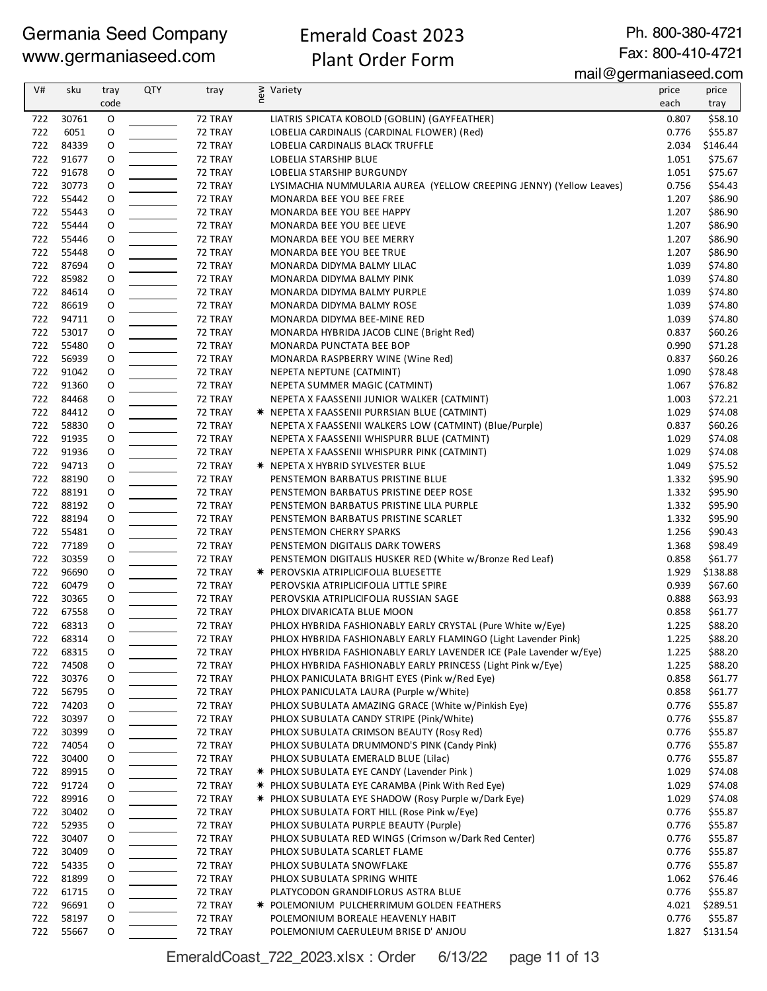# Emerald Coast 2023

Ph. 800-380-4721 Fax: 800-410-4721

#### Plant Order Form

mail@germaniaseed.com

| V#  | sku            |          | <b>QTY</b> |         | $1.1811$ $\sim$ gorman account on $1.1$                             |       |          |
|-----|----------------|----------|------------|---------|---------------------------------------------------------------------|-------|----------|
|     |                | tray     |            | tray    | new<br>Variety                                                      | price | price    |
|     |                | code     |            |         |                                                                     | each  | tray     |
| 722 | 30761          | O        |            | 72 TRAY | LIATRIS SPICATA KOBOLD (GOBLIN) (GAYFEATHER)                        | 0.807 | \$58.10  |
| 722 | 6051           | O        |            | 72 TRAY | LOBELIA CARDINALIS (CARDINAL FLOWER) (Red)                          | 0.776 | \$55.87  |
| 722 | 84339          | O        |            | 72 TRAY | LOBELIA CARDINALIS BLACK TRUFFLE                                    | 2.034 | \$146.44 |
| 722 | 91677          | O        |            | 72 TRAY | LOBELIA STARSHIP BLUE                                               | 1.051 | \$75.67  |
| 722 | 91678          | O        |            | 72 TRAY | LOBELIA STARSHIP BURGUNDY                                           | 1.051 | \$75.67  |
| 722 | 30773          | O        |            | 72 TRAY | LYSIMACHIA NUMMULARIA AUREA (YELLOW CREEPING JENNY) (Yellow Leaves) | 0.756 | \$54.43  |
| 722 | 55442          | O        |            | 72 TRAY | MONARDA BEE YOU BEE FREE                                            | 1.207 | \$86.90  |
| 722 | 55443          | O        |            | 72 TRAY | MONARDA BEE YOU BEE HAPPY                                           | 1.207 | \$86.90  |
| 722 | 55444          | O        |            | 72 TRAY | MONARDA BEE YOU BEE LIEVE                                           | 1.207 | \$86.90  |
| 722 | 55446          | O        |            | 72 TRAY | MONARDA BEE YOU BEE MERRY                                           | 1.207 | \$86.90  |
| 722 | 55448          | 0        |            | 72 TRAY | MONARDA BEE YOU BEE TRUE                                            | 1.207 | \$86.90  |
| 722 | 87694          | O        |            | 72 TRAY | MONARDA DIDYMA BALMY LILAC                                          | 1.039 | \$74.80  |
| 722 | 85982          | O        |            | 72 TRAY | MONARDA DIDYMA BALMY PINK                                           | 1.039 | \$74.80  |
| 722 | 84614          | O        |            | 72 TRAY | MONARDA DIDYMA BALMY PURPLE                                         | 1.039 | \$74.80  |
| 722 | 86619          | O        |            | 72 TRAY | MONARDA DIDYMA BALMY ROSE                                           | 1.039 | \$74.80  |
| 722 | 94711          | O        |            | 72 TRAY | MONARDA DIDYMA BEE-MINE RED                                         | 1.039 | \$74.80  |
| 722 | 53017          | O        |            | 72 TRAY | MONARDA HYBRIDA JACOB CLINE (Bright Red)                            | 0.837 | \$60.26  |
| 722 | 55480          | O        |            | 72 TRAY | MONARDA PUNCTATA BEE BOP                                            | 0.990 | \$71.28  |
| 722 | 56939          | O        |            | 72 TRAY | MONARDA RASPBERRY WINE (Wine Red)                                   | 0.837 | \$60.26  |
| 722 | 91042          | O        |            | 72 TRAY | NEPETA NEPTUNE (CATMINT)                                            | 1.090 | \$78.48  |
| 722 | 91360          | O        |            | 72 TRAY | NEPETA SUMMER MAGIC (CATMINT)                                       | 1.067 | \$76.82  |
| 722 | 84468          | O        |            | 72 TRAY | NEPETA X FAASSENII JUNIOR WALKER (CATMINT)                          | 1.003 | \$72.21  |
| 722 | 84412          | O        |            | 72 TRAY | * NEPETA X FAASSENII PURRSIAN BLUE (CATMINT)                        | 1.029 | \$74.08  |
| 722 | 58830          | 0        |            | 72 TRAY | NEPETA X FAASSENII WALKERS LOW (CATMINT) (Blue/Purple)              | 0.837 | \$60.26  |
| 722 | 91935          | O        |            | 72 TRAY | NEPETA X FAASSENII WHISPURR BLUE (CATMINT)                          | 1.029 | \$74.08  |
| 722 | 91936          | O        |            | 72 TRAY | NEPETA X FAASSENII WHISPURR PINK (CATMINT)                          | 1.029 | \$74.08  |
| 722 | 94713          | O        |            | 72 TRAY | <b>★ NEPETA X HYBRID SYLVESTER BLUE</b>                             | 1.049 | \$75.52  |
| 722 | 88190          | O        |            | 72 TRAY | PENSTEMON BARBATUS PRISTINE BLUE                                    | 1.332 | \$95.90  |
| 722 | 88191          | O        |            | 72 TRAY | PENSTEMON BARBATUS PRISTINE DEEP ROSE                               | 1.332 | \$95.90  |
| 722 | 88192          | O        |            | 72 TRAY | PENSTEMON BARBATUS PRISTINE LILA PURPLE                             | 1.332 | \$95.90  |
| 722 | 88194          | O        |            | 72 TRAY | PENSTEMON BARBATUS PRISTINE SCARLET                                 | 1.332 | \$95.90  |
| 722 | 55481          | O        |            | 72 TRAY | PENSTEMON CHERRY SPARKS                                             | 1.256 | \$90.43  |
| 722 | 77189          | O        |            | 72 TRAY | PENSTEMON DIGITALIS DARK TOWERS                                     | 1.368 | \$98.49  |
| 722 | 30359          | O        |            | 72 TRAY | PENSTEMON DIGITALIS HUSKER RED (White w/Bronze Red Leaf)            | 0.858 | \$61.77  |
| 722 | 96690          | O        |            | 72 TRAY | <b>★ PEROVSKIA ATRIPLICIFOLIA BLUESETTE</b>                         | 1.929 | \$138.88 |
| 722 | 60479          | O        |            | 72 TRAY | PEROVSKIA ATRIPLICIFOLIA LITTLE SPIRE                               | 0.939 | \$67.60  |
| 722 | 30365          | O        |            | 72 TRAY | PEROVSKIA ATRIPLICIFOLIA RUSSIAN SAGE                               | 0.888 | \$63.93  |
| 722 | 67558          | O        |            | 72 TRAY | PHLOX DIVARICATA BLUE MOON                                          | 0.858 | \$61.77  |
| 722 | 68313          | O        |            |         | PHLOX HYBRIDA FASHIONABLY EARLY CRYSTAL (Pure White w/Eye)          | 1.225 | \$88.20  |
|     |                | $\Omega$ |            | 72 TRAY |                                                                     |       |          |
|     | 722 68314      |          |            | 72 TRAY | PHLOX HYBRIDA FASHIONABLY EARLY FLAMINGO (Light Lavender Pink)      | 1.225 | \$88.20  |
| 722 | 68315          | O        |            | 72 TRAY | PHLOX HYBRIDA FASHIONABLY EARLY LAVENDER ICE (Pale Lavender w/Eye)  | 1.225 | \$88.20  |
| 722 | 74508          | 0        |            | 72 TRAY | PHLOX HYBRIDA FASHIONABLY EARLY PRINCESS (Light Pink w/Eye)         | 1.225 | \$88.20  |
| 722 | 30376<br>56795 | O        |            | 72 TRAY | PHLOX PANICULATA BRIGHT EYES (Pink w/Red Eye)                       | 0.858 | \$61.77  |
| 722 |                | O        |            | 72 TRAY | PHLOX PANICULATA LAURA (Purple w/White)                             | 0.858 | \$61.77  |
| 722 | 74203          | O        |            | 72 TRAY | PHLOX SUBULATA AMAZING GRACE (White w/Pinkish Eye)                  | 0.776 | \$55.87  |
| 722 | 30397          | 0        |            | 72 TRAY | PHLOX SUBULATA CANDY STRIPE (Pink/White)                            | 0.776 | \$55.87  |
| 722 | 30399          | O        |            | 72 TRAY | PHLOX SUBULATA CRIMSON BEAUTY (Rosy Red)                            | 0.776 | \$55.87  |
| 722 | 74054          | O        |            | 72 TRAY | PHLOX SUBULATA DRUMMOND'S PINK (Candy Pink)                         | 0.776 | \$55.87  |
| 722 | 30400          | O        |            | 72 TRAY | PHLOX SUBULATA EMERALD BLUE (Lilac)                                 | 0.776 | \$55.87  |
| 722 | 89915          | 0        |            | 72 TRAY | * PHLOX SUBULATA EYE CANDY (Lavender Pink)                          | 1.029 | \$74.08  |
| 722 | 91724          | 0        |            | 72 TRAY | * PHLOX SUBULATA EYE CARAMBA (Pink With Red Eye)                    | 1.029 | \$74.08  |
| 722 | 89916          | O        |            | 72 TRAY | * PHLOX SUBULATA EYE SHADOW (Rosy Purple w/Dark Eye)                | 1.029 | \$74.08  |
| 722 | 30402          | O        |            | 72 TRAY | PHLOX SUBULATA FORT HILL (Rose Pink w/Eye)                          | 0.776 | \$55.87  |
| 722 | 52935          | 0        |            | 72 TRAY | PHLOX SUBULATA PURPLE BEAUTY (Purple)                               | 0.776 | \$55.87  |
| 722 | 30407          | 0        |            | 72 TRAY | PHLOX SUBULATA RED WINGS (Crimson w/Dark Red Center)                | 0.776 | \$55.87  |
| 722 | 30409          | O        |            | 72 TRAY | PHLOX SUBULATA SCARLET FLAME                                        | 0.776 | \$55.87  |
| 722 | 54335          | O        |            | 72 TRAY | PHLOX SUBULATA SNOWFLAKE                                            | 0.776 | \$55.87  |
| 722 | 81899          | O        |            | 72 TRAY | PHLOX SUBULATA SPRING WHITE                                         | 1.062 | \$76.46  |
| 722 | 61715          | O        |            | 72 TRAY | PLATYCODON GRANDIFLORUS ASTRA BLUE                                  | 0.776 | \$55.87  |
| 722 | 96691          | O        |            | 72 TRAY | * POLEMONIUM PULCHERRIMUM GOLDEN FEATHERS                           | 4.021 | \$289.51 |
| 722 | 58197          | O        |            | 72 TRAY | POLEMONIUM BOREALE HEAVENLY HABIT                                   | 0.776 | \$55.87  |
| 722 | 55667          | 0        |            | 72 TRAY | POLEMONIUM CAERULEUM BRISE D' ANJOU                                 | 1.827 | \$131.54 |

EmeraldCoast\_722\_2023.xlsx : Order 6/13/22 page 11 of 13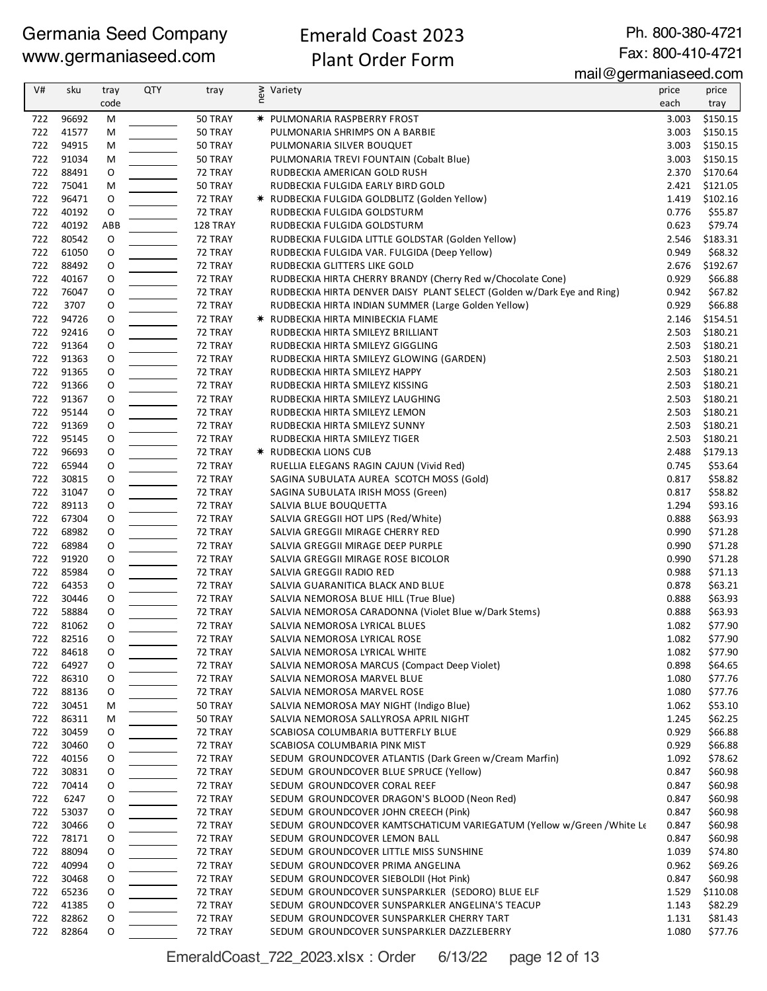### Emerald Coast 2023

Ph. 800-380-4721 Fax: 800-410-4721

Plant Order Form

mail@germaniaseed.com

| V#         | sku            | tray   | <b>QTY</b> | tray               | ≷ Variety<br>E                                                         | price          | price              |
|------------|----------------|--------|------------|--------------------|------------------------------------------------------------------------|----------------|--------------------|
|            |                | code   |            |                    |                                                                        | each           | tray               |
| 722        | 96692          | M      |            | 50 TRAY            | <b>★ PULMONARIA RASPBERRY FROST</b>                                    | 3.003          | \$150.15           |
| 722        | 41577          | M      |            | 50 TRAY            | PULMONARIA SHRIMPS ON A BARBIE                                         | 3.003          | \$150.15           |
| 722        | 94915          | M      |            | 50 TRAY            | PULMONARIA SILVER BOUQUET                                              | 3.003          | \$150.15           |
| 722        | 91034          | м      |            | 50 TRAY            | PULMONARIA TREVI FOUNTAIN (Cobalt Blue)                                | 3.003          | \$150.15           |
| 722        | 88491          | O      |            | 72 TRAY            | RUDBECKIA AMERICAN GOLD RUSH                                           | 2.370          | \$170.64           |
| 722        | 75041          | M      |            | 50 TRAY            | RUDBECKIA FULGIDA EARLY BIRD GOLD                                      | 2.421          | \$121.05           |
| 722        | 96471          | O      |            | 72 TRAY            | * RUDBECKIA FULGIDA GOLDBLITZ (Golden Yellow)                          | 1.419          | \$102.16           |
| 722        | 40192          | O      |            | 72 TRAY            | RUDBECKIA FULGIDA GOLDSTURM                                            | 0.776          | \$55.87            |
| 722        | 40192          | ABB    |            | 128 TRAY           | RUDBECKIA FULGIDA GOLDSTURM                                            | 0.623          | \$79.74            |
| 722        | 80542          | O      |            | 72 TRAY            | RUDBECKIA FULGIDA LITTLE GOLDSTAR (Golden Yellow)                      | 2.546          | \$183.31           |
| 722        | 61050          | O      |            | 72 TRAY            | RUDBECKIA FULGIDA VAR. FULGIDA (Deep Yellow)                           | 0.949          | \$68.32            |
| 722        | 88492          | O      |            | 72 TRAY            | RUDBECKIA GLITTERS LIKE GOLD                                           | 2.676          | \$192.67           |
| 722        | 40167          | O      |            | 72 TRAY            | RUDBECKIA HIRTA CHERRY BRANDY (Cherry Red w/Chocolate Cone)            | 0.929          | \$66.88            |
| 722        | 76047          | O      |            | 72 TRAY            | RUDBECKIA HIRTA DENVER DAISY PLANT SELECT (Golden w/Dark Eye and Ring) | 0.942          | \$67.82            |
| 722        | 3707           | O      |            | 72 TRAY            | RUDBECKIA HIRTA INDIAN SUMMER (Large Golden Yellow)                    | 0.929          | \$66.88            |
| 722        | 94726          | O      |            | 72 TRAY            | <b>★ RUDBECKIA HIRTA MINIBECKIA FLAME</b>                              | 2.146          | \$154.51           |
| 722        | 92416          | O      |            | 72 TRAY            | RUDBECKIA HIRTA SMILEYZ BRILLIANT                                      | 2.503          | \$180.21           |
| 722        | 91364          | 0      |            | 72 TRAY            | RUDBECKIA HIRTA SMILEYZ GIGGLING                                       | 2.503          | \$180.21           |
| 722        | 91363          | O      |            | 72 TRAY            | RUDBECKIA HIRTA SMILEYZ GLOWING (GARDEN)                               | 2.503          | \$180.21           |
| 722        | 91365          | O      |            | 72 TRAY            | RUDBECKIA HIRTA SMILEYZ HAPPY                                          | 2.503          | \$180.21           |
| 722        | 91366          | O      |            | 72 TRAY            | RUDBECKIA HIRTA SMILEYZ KISSING                                        | 2.503          | \$180.21           |
| 722        | 91367          | O      |            | 72 TRAY            | RUDBECKIA HIRTA SMILEYZ LAUGHING                                       | 2.503          | \$180.21           |
| 722        | 95144          | O      |            | 72 TRAY            | RUDBECKIA HIRTA SMILEYZ LEMON                                          | 2.503          | \$180.21           |
| 722        | 91369          | O      |            | 72 TRAY            | RUDBECKIA HIRTA SMILEYZ SUNNY                                          | 2.503          | \$180.21           |
| 722        | 95145          | O      |            | 72 TRAY            | RUDBECKIA HIRTA SMILEYZ TIGER                                          | 2.503          | \$180.21           |
| 722        | 96693          | O      |            | 72 TRAY            | <b>★ RUDBECKIA LIONS CUB</b>                                           | 2.488          | \$179.13           |
| 722<br>722 | 65944          | 0      |            | 72 TRAY            | RUELLIA ELEGANS RAGIN CAJUN (Vivid Red)                                | 0.745          | \$53.64            |
| 722        | 30815<br>31047 | O      |            | 72 TRAY            | SAGINA SUBULATA AUREA SCOTCH MOSS (Gold)                               | 0.817<br>0.817 | \$58.82            |
| 722        | 89113          | O      |            | 72 TRAY<br>72 TRAY | SAGINA SUBULATA IRISH MOSS (Green)                                     | 1.294          | \$58.82<br>\$93.16 |
| 722        | 67304          | O<br>O |            | 72 TRAY            | SALVIA BLUE BOUQUETTA<br>SALVIA GREGGII HOT LIPS (Red/White)           | 0.888          | \$63.93            |
| 722        | 68982          | O      |            | 72 TRAY            | SALVIA GREGGII MIRAGE CHERRY RED                                       | 0.990          | \$71.28            |
| 722        | 68984          | O      |            | 72 TRAY            | SALVIA GREGGII MIRAGE DEEP PURPLE                                      | 0.990          | \$71.28            |
| 722        | 91920          | O      |            | 72 TRAY            | SALVIA GREGGII MIRAGE ROSE BICOLOR                                     | 0.990          | \$71.28            |
| 722        | 85984          | O      |            | 72 TRAY            | SALVIA GREGGII RADIO RED                                               | 0.988          | \$71.13            |
| 722        | 64353          | O      |            | 72 TRAY            | SALVIA GUARANITICA BLACK AND BLUE                                      | 0.878          | \$63.21            |
| 722        | 30446          | O      |            | 72 TRAY            | SALVIA NEMOROSA BLUE HILL (True Blue)                                  | 0.888          | \$63.93            |
| 722        | 58884          | O      |            | 72 TRAY            | SALVIA NEMOROSA CARADONNA (Violet Blue w/Dark Stems)                   | 0.888          | \$63.93            |
| 722        | 81062          | O      |            | 72 TRAY            | SALVIA NEMOROSA LYRICAL BLUES                                          | 1.082          | \$77.90            |
| 722        | 82516          | O      |            | 72 TRAY            | SALVIA NEMOROSA LYRICAL ROSE                                           | 1.082          | \$77.90            |
| 722        | 84618          | O      |            | 72 TRAY            | SALVIA NEMOROSA LYRICAL WHITE                                          | 1.082          | \$77.90            |
| 722        | 64927          | O      |            | 72 TRAY            | SALVIA NEMOROSA MARCUS (Compact Deep Violet)                           | 0.898          | \$64.65            |
| 722        | 86310          | O      |            | 72 TRAY            | SALVIA NEMOROSA MARVEL BLUE                                            | 1.080          | \$77.76            |
| 722        | 88136          | O      |            | 72 TRAY            | SALVIA NEMOROSA MARVEL ROSE                                            | 1.080          | \$77.76            |
| 722        | 30451          | м      |            | 50 TRAY            | SALVIA NEMOROSA MAY NIGHT (Indigo Blue)                                | 1.062          | \$53.10            |
| 722        | 86311          | м      |            | 50 TRAY            | SALVIA NEMOROSA SALLYROSA APRIL NIGHT                                  | 1.245          | \$62.25            |
| 722        | 30459          | O      |            | 72 TRAY            | SCABIOSA COLUMBARIA BUTTERFLY BLUE                                     | 0.929          | \$66.88            |
| 722        | 30460          | 0      |            | 72 TRAY            | SCABIOSA COLUMBARIA PINK MIST                                          | 0.929          | \$66.88            |
| 722        | 40156          | 0      |            | 72 TRAY            | SEDUM GROUNDCOVER ATLANTIS (Dark Green w/Cream Marfin)                 | 1.092          | \$78.62            |
| 722        | 30831          | O      |            | 72 TRAY            | SEDUM GROUNDCOVER BLUE SPRUCE (Yellow)                                 | 0.847          | \$60.98            |
| 722        | 70414          | O      |            | 72 TRAY            | SEDUM GROUNDCOVER CORAL REEF                                           | 0.847          | \$60.98            |
| 722        | 6247           | O      |            | 72 TRAY            | SEDUM GROUNDCOVER DRAGON'S BLOOD (Neon Red)                            | 0.847          | \$60.98            |
| 722        | 53037          | O      |            | 72 TRAY            | SEDUM GROUNDCOVER JOHN CREECH (Pink)                                   | 0.847          | \$60.98            |
| 722        | 30466          | O      |            | 72 TRAY            | SEDUM GROUNDCOVER KAMTSCHATICUM VARIEGATUM (Yellow w/Green / White Le  | 0.847          | \$60.98            |
| 722        | 78171          | O      |            | 72 TRAY            | SEDUM GROUNDCOVER LEMON BALL                                           | 0.847          | \$60.98            |
| 722        | 88094          | O      |            | 72 TRAY            | SEDUM GROUNDCOVER LITTLE MISS SUNSHINE                                 | 1.039          | \$74.80            |
| 722        | 40994          | 0      |            | 72 TRAY            | SEDUM GROUNDCOVER PRIMA ANGELINA                                       | 0.962          | \$69.26            |
| 722        | 30468          | 0      |            | 72 TRAY            | SEDUM GROUNDCOVER SIEBOLDII (Hot Pink)                                 | 0.847          | \$60.98            |
| 722        | 65236          | O      |            | 72 TRAY            | SEDUM GROUNDCOVER SUNSPARKLER (SEDORO) BLUE ELF                        | 1.529          | \$110.08           |
| 722        | 41385          | O      |            | 72 TRAY            | SEDUM GROUNDCOVER SUNSPARKLER ANGELINA'S TEACUP                        | 1.143          | \$82.29            |
| 722        | 82862          | O      |            | 72 TRAY            | SEDUM GROUNDCOVER SUNSPARKLER CHERRY TART                              | 1.131          | \$81.43            |
| 722        | 82864          | O      |            | 72 TRAY            | SEDUM GROUNDCOVER SUNSPARKLER DAZZLEBERRY                              | 1.080          | \$77.76            |

EmeraldCoast\_722\_2023.xlsx : Order 6/13/22 page 12 of 13